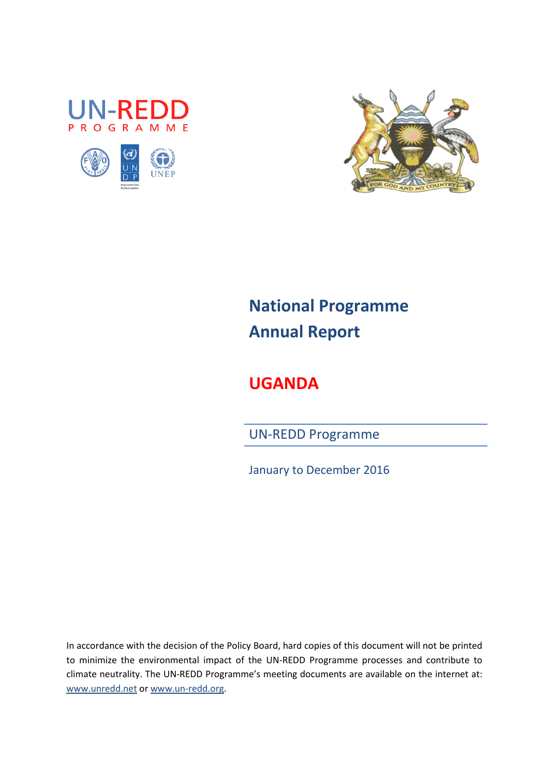





# **National Programme Annual Report**

**UGANDA**

UN-REDD Programme

January to December 2016

In accordance with the decision of the Policy Board, hard copies of this document will not be printed to minimize the environmental impact of the UN-REDD Programme processes and contribute to climate neutrality. The UN-REDD Programme's meeting documents are available on the internet at: [www.unredd.net](http://www.unredd.net/) or [www.un-redd.org.](http://www.un-redd.org/)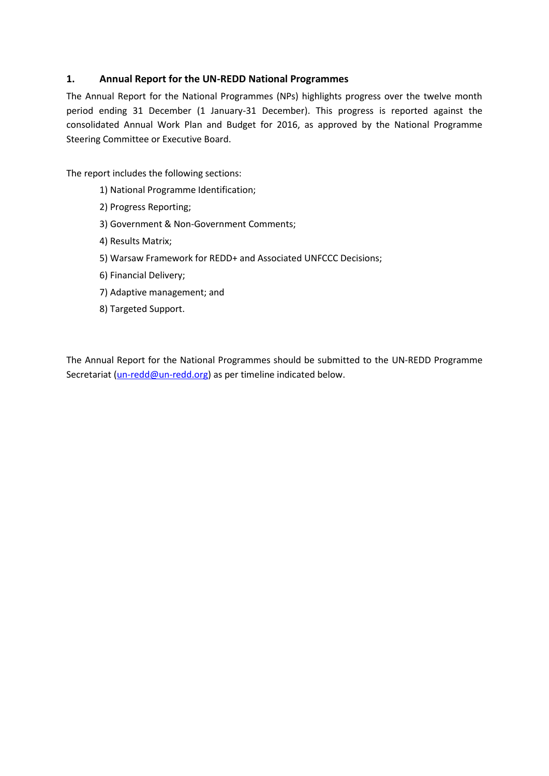## **1. Annual Report for the UN-REDD National Programmes**

The Annual Report for the National Programmes (NPs) highlights progress over the twelve month period ending 31 December (1 January-31 December). This progress is reported against the consolidated Annual Work Plan and Budget for 2016, as approved by the National Programme Steering Committee or Executive Board.

The report includes the following sections:

- 1) National Programme Identification;
- 2) Progress Reporting;
- 3) Government & Non-Government Comments;
- 4) Results Matrix;
- 5) Warsaw Framework for REDD+ and Associated UNFCCC Decisions;
- 6) Financial Delivery;
- 7) Adaptive management; and
- 8) Targeted Support.

The Annual Report for the National Programmes should be submitted to the UN-REDD Programme Secretariat [\(un-redd@un-redd.org\)](mailto:un-redd@un-redd.org) as per timeline indicated below.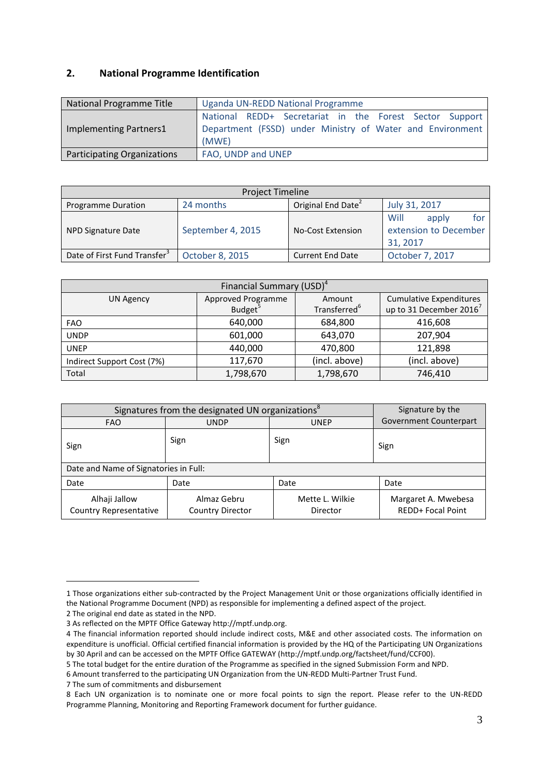## **2. National Programme Identification**

| National Programme Title    | <b>Uganda UN-REDD National Programme</b>                                                                                      |  |  |  |  |
|-----------------------------|-------------------------------------------------------------------------------------------------------------------------------|--|--|--|--|
| Implementing Partners1      | National REDD+ Secretariat in the Forest Sector Support<br>Department (FSSD) under Ministry of Water and Environment<br>(MWE) |  |  |  |  |
| Participating Organizations | FAO, UNDP and UNEP                                                                                                            |  |  |  |  |

| <b>Project Timeline</b>                  |                   |                                |                                                           |  |  |  |
|------------------------------------------|-------------------|--------------------------------|-----------------------------------------------------------|--|--|--|
| Programme Duration                       | 24 months         | Original End Date <sup>2</sup> | July 31, 2017                                             |  |  |  |
| NPD Signature Date                       | September 4, 2015 | <b>No-Cost Extension</b>       | Will<br>for<br>apply<br>extension to December<br>31, 2017 |  |  |  |
| Date of First Fund Transfer <sup>3</sup> | October 8, 2015   | <b>Current End Date</b>        | October 7, 2017                                           |  |  |  |

| Financial Summary (USD) <sup>4</sup> |                              |                          |                                     |  |  |  |  |
|--------------------------------------|------------------------------|--------------------------|-------------------------------------|--|--|--|--|
| <b>UN Agency</b>                     | Approved Programme<br>Amount |                          | <b>Cumulative Expenditures</b>      |  |  |  |  |
|                                      | Budget <sup>5</sup>          | Transferred <sup>6</sup> | up to 31 December 2016 <sup>7</sup> |  |  |  |  |
| <b>FAO</b>                           | 640,000                      | 684,800                  | 416,608                             |  |  |  |  |
| <b>UNDP</b>                          | 601,000                      | 643,070                  | 207,904                             |  |  |  |  |
| <b>UNEP</b>                          | 440,000                      | 470,800                  | 121,898                             |  |  |  |  |
| Indirect Support Cost (7%)           | 117,670                      | (incl. above)            | (incl. above)                       |  |  |  |  |
| Total                                | 1,798,670                    | 1,798,670                | 746,410                             |  |  |  |  |

| Signatures from the designated UN organizations <sup>8</sup> | Signature by the                       |                               |                                                 |
|--------------------------------------------------------------|----------------------------------------|-------------------------------|-------------------------------------------------|
| <b>FAO</b>                                                   | UNDP                                   | <b>Government Counterpart</b> |                                                 |
| Sign                                                         | Sign                                   | Sign                          | Sign                                            |
| Date and Name of Signatories in Full:                        |                                        |                               |                                                 |
| Date                                                         | Date                                   | Date                          |                                                 |
| Alhaji Jallow<br><b>Country Representative</b>               | Almaz Gebru<br><b>Country Director</b> | Mette L. Wilkie<br>Director   | Margaret A. Mwebesa<br><b>REDD+ Focal Point</b> |

 $\overline{a}$ 

<sup>1</sup> Those organizations either sub-contracted by the Project Management Unit or those organizations officially identified in the National Programme Document (NPD) as responsible for implementing a defined aspect of the project.

<sup>2</sup> The original end date as stated in the NPD.

<sup>3</sup> As reflected on the MPTF Office Gateway http://mptf.undp.org.

<sup>4</sup> The financial information reported should include indirect costs, M&E and other associated costs. The information on expenditure is unofficial. Official certified financial information is provided by the HQ of the Participating UN Organizations by 30 April and can be accessed on the MPTF Office GATEWAY [\(http://mptf.undp.org/factsheet/fund/CCF00\)](http://mptf.undp.org/factsheet/fund/CCF00).

<sup>5</sup> The total budget for the entire duration of the Programme as specified in the signed Submission Form and NPD.

<sup>6</sup> Amount transferred to the participating UN Organization from the UN-REDD Multi-Partner Trust Fund.

<sup>7</sup> The sum of commitments and disbursement

<sup>8</sup> Each UN organization is to nominate one or more focal points to sign the report. Please refer to the UN-REDD Programme Planning, Monitoring and Reporting Framework document for further guidance.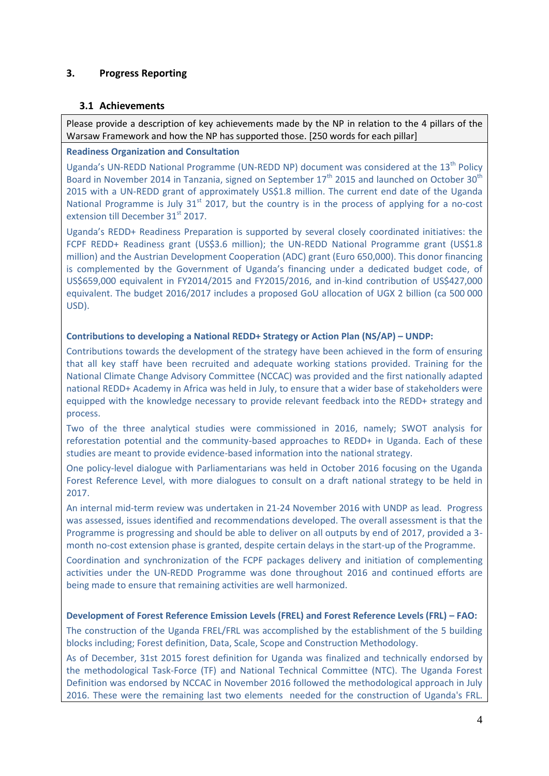## **3. Progress Reporting**

## **3.1 Achievements**

Please provide a description of key achievements made by the NP in relation to the 4 pillars of the Warsaw Framework and how the NP has supported those. [250 words for each pillar]

## **Readiness Organization and Consultation**

Uganda's UN-REDD National Programme (UN-REDD NP) document was considered at the 13<sup>th</sup> Policy Board in November 2014 in Tanzania, signed on September  $17<sup>th</sup>$  2015 and launched on October 30<sup>th</sup> 2015 with a UN-REDD grant of approximately US\$1.8 million. The current end date of the Uganda National Programme is July  $31<sup>st</sup>$  2017, but the country is in the process of applying for a no-cost extension till December 31<sup>st</sup> 2017.

Uganda's REDD+ Readiness Preparation is supported by several closely coordinated initiatives: the FCPF REDD+ Readiness grant (US\$3.6 million); the UN-REDD National Programme grant (US\$1.8 million) and the Austrian Development Cooperation (ADC) grant (Euro 650,000). This donor financing is complemented by the Government of Uganda's financing under a dedicated budget code, of US\$659,000 equivalent in FY2014/2015 and FY2015/2016, and in-kind contribution of US\$427,000 equivalent. The budget 2016/2017 includes a proposed GoU allocation of UGX 2 billion (ca 500 000 USD).

## **Contributions to developing a National REDD+ Strategy or Action Plan (NS/AP) – UNDP:**

Contributions towards the development of the strategy have been achieved in the form of ensuring that all key staff have been recruited and adequate working stations provided. Training for the National Climate Change Advisory Committee (NCCAC) was provided and the first nationally adapted national REDD+ Academy in Africa was held in July, to ensure that a wider base of stakeholders were equipped with the knowledge necessary to provide relevant feedback into the REDD+ strategy and process.

Two of the three analytical studies were commissioned in 2016, namely; SWOT analysis for reforestation potential and the community-based approaches to REDD+ in Uganda. Each of these studies are meant to provide evidence-based information into the national strategy.

One policy-level dialogue with Parliamentarians was held in October 2016 focusing on the Uganda Forest Reference Level, with more dialogues to consult on a draft national strategy to be held in 2017.

An internal mid-term review was undertaken in 21-24 November 2016 with UNDP as lead. Progress was assessed, issues identified and recommendations developed. The overall assessment is that the Programme is progressing and should be able to deliver on all outputs by end of 2017, provided a 3 month no-cost extension phase is granted, despite certain delays in the start-up of the Programme.

Coordination and synchronization of the FCPF packages delivery and initiation of complementing activities under the UN-REDD Programme was done throughout 2016 and continued efforts are being made to ensure that remaining activities are well harmonized.

## **Development of Forest Reference Emission Levels (FREL) and Forest Reference Levels (FRL) – FAO:**

The construction of the Uganda FREL/FRL was accomplished by the establishment of the 5 building blocks including; Forest definition, Data, Scale, Scope and Construction Methodology.

As of December, 31st 2015 forest definition for Uganda was finalized and technically endorsed by the methodological Task-Force (TF) and National Technical Committee (NTC). The Uganda Forest Definition was endorsed by NCCAC in November 2016 followed the methodological approach in July 2016. These were the remaining last two elements needed for the construction of Uganda's FRL.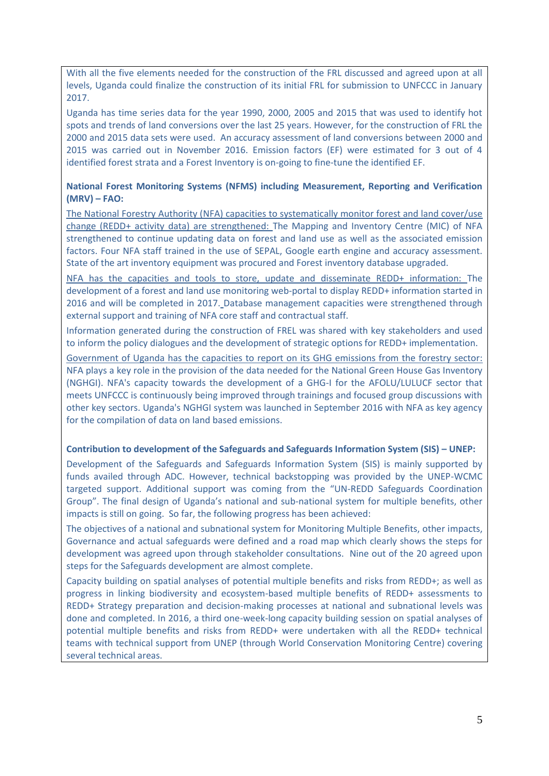With all the five elements needed for the construction of the FRL discussed and agreed upon at all levels, Uganda could finalize the construction of its initial FRL for submission to UNFCCC in January 2017.

Uganda has time series data for the year 1990, 2000, 2005 and 2015 that was used to identify hot spots and trends of land conversions over the last 25 years. However, for the construction of FRL the 2000 and 2015 data sets were used. An accuracy assessment of land conversions between 2000 and 2015 was carried out in November 2016. Emission factors (EF) were estimated for 3 out of 4 identified forest strata and a Forest Inventory is on-going to fine-tune the identified EF.

## **National Forest Monitoring Systems (NFMS) including Measurement, Reporting and Verification (MRV) – FAO:**

The National Forestry Authority (NFA) capacities to systematically monitor forest and land cover/use change (REDD+ activity data) are strengthened: The Mapping and Inventory Centre (MIC) of NFA strengthened to continue updating data on forest and land use as well as the associated emission factors. Four NFA staff trained in the use of SEPAL, Google earth engine and accuracy assessment. State of the art inventory equipment was procured and Forest inventory database upgraded.

NFA has the capacities and tools to store, update and disseminate REDD+ information: The development of a forest and land use monitoring web-portal to display REDD+ information started in 2016 and will be completed in 2017. Database management capacities were strengthened through external support and training of NFA core staff and contractual staff.

Information generated during the construction of FREL was shared with key stakeholders and used to inform the policy dialogues and the development of strategic options for REDD+ implementation.

Government of Uganda has the capacities to report on its GHG emissions from the forestry sector: NFA plays a key role in the provision of the data needed for the National Green House Gas Inventory (NGHGI). NFA's capacity towards the development of a GHG-I for the AFOLU/LULUCF sector that meets UNFCCC is continuously being improved through trainings and focused group discussions with other key sectors. Uganda's NGHGI system was launched in September 2016 with NFA as key agency for the compilation of data on land based emissions.

## **Contribution to development of the Safeguards and Safeguards Information System (SIS) – UNEP:**

Development of the Safeguards and Safeguards Information System (SIS) is mainly supported by funds availed through ADC. However, technical backstopping was provided by the UNEP-WCMC targeted support. Additional support was coming from the "UN-REDD Safeguards Coordination Group". The final design of Uganda's national and sub-national system for multiple benefits, other impacts is still on going. So far, the following progress has been achieved:

The objectives of a national and subnational system for Monitoring Multiple Benefits, other impacts, Governance and actual safeguards were defined and a road map which clearly shows the steps for development was agreed upon through stakeholder consultations. Nine out of the 20 agreed upon steps for the Safeguards development are almost complete.

Capacity building on spatial analyses of potential multiple benefits and risks from REDD+; as well as progress in linking biodiversity and ecosystem-based multiple benefits of REDD+ assessments to REDD+ Strategy preparation and decision-making processes at national and subnational levels was done and completed. In 2016, a third one-week-long capacity building session on spatial analyses of potential multiple benefits and risks from REDD+ were undertaken with all the REDD+ technical teams with technical support from UNEP (through World Conservation Monitoring Centre) covering several technical areas.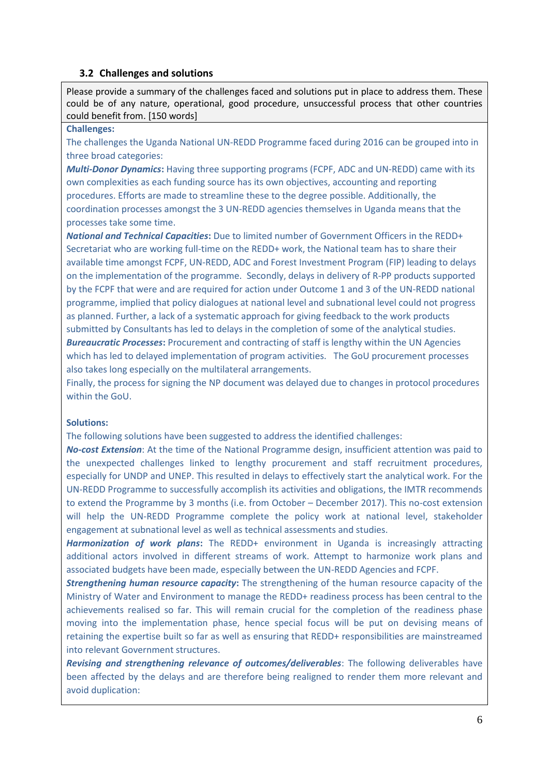## **3.2 Challenges and solutions**

Please provide a summary of the challenges faced and solutions put in place to address them. These could be of any nature, operational, good procedure, unsuccessful process that other countries could benefit from. [150 words]

## **Challenges:**

The challenges the Uganda National UN-REDD Programme faced during 2016 can be grouped into in three broad categories:

*Multi-Donor Dynamics***:** Having three supporting programs (FCPF, ADC and UN-REDD) came with its own complexities as each funding source has its own objectives, accounting and reporting procedures. Efforts are made to streamline these to the degree possible. Additionally, the coordination processes amongst the 3 UN-REDD agencies themselves in Uganda means that the processes take some time.

*National and Technical Capacities***:** Due to limited number of Government Officers in the REDD+ Secretariat who are working full-time on the REDD+ work, the National team has to share their available time amongst FCPF, UN-REDD, ADC and Forest Investment Program (FIP) leading to delays on the implementation of the programme. Secondly, delays in delivery of R-PP products supported by the FCPF that were and are required for action under Outcome 1 and 3 of the UN-REDD national programme, implied that policy dialogues at national level and subnational level could not progress as planned. Further, a lack of a systematic approach for giving feedback to the work products submitted by Consultants has led to delays in the completion of some of the analytical studies.

**Bureaucratic Processes:** Procurement and contracting of staff is lengthy within the UN Agencies which has led to delayed implementation of program activities. The GoU procurement processes also takes long especially on the multilateral arrangements.

Finally, the process for signing the NP document was delayed due to changes in protocol procedures within the GoU.

## **Solutions:**

The following solutions have been suggested to address the identified challenges:

*No-cost Extension*: At the time of the National Programme design, insufficient attention was paid to the unexpected challenges linked to lengthy procurement and staff recruitment procedures, especially for UNDP and UNEP. This resulted in delays to effectively start the analytical work. For the UN-REDD Programme to successfully accomplish its activities and obligations, the IMTR recommends to extend the Programme by 3 months (i.e. from October – December 2017). This no-cost extension will help the UN-REDD Programme complete the policy work at national level, stakeholder engagement at subnational level as well as technical assessments and studies.

*Harmonization of work plans***:** The REDD+ environment in Uganda is increasingly attracting additional actors involved in different streams of work. Attempt to harmonize work plans and associated budgets have been made, especially between the UN-REDD Agencies and FCPF.

*Strengthening human resource capacity***:** The strengthening of the human resource capacity of the Ministry of Water and Environment to manage the REDD+ readiness process has been central to the achievements realised so far. This will remain crucial for the completion of the readiness phase moving into the implementation phase, hence special focus will be put on devising means of retaining the expertise built so far as well as ensuring that REDD+ responsibilities are mainstreamed into relevant Government structures.

*Revising and strengthening relevance of outcomes/deliverables*: The following deliverables have been affected by the delays and are therefore being realigned to render them more relevant and avoid duplication: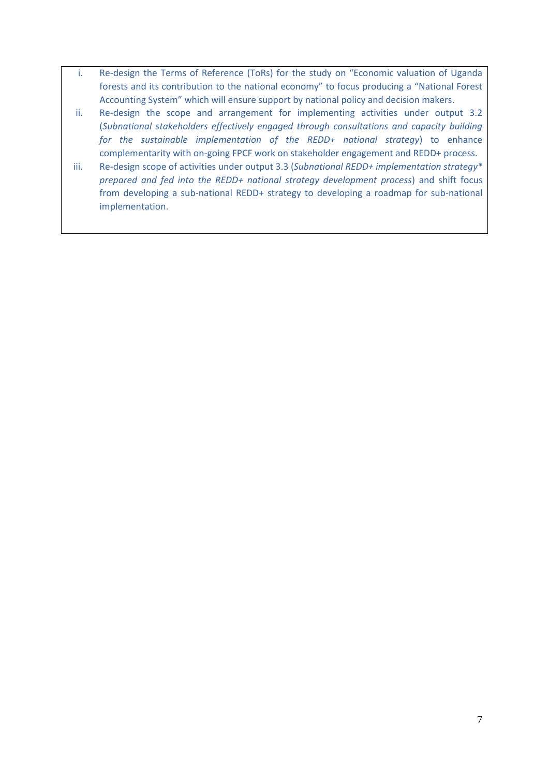- i. Re-design the Terms of Reference (ToRs) for the study on "Economic valuation of Uganda forests and its contribution to the national economy" to focus producing a "National Forest Accounting System" which will ensure support by national policy and decision makers.
- ii. Re-design the scope and arrangement for implementing activities under output 3.2 (*Subnational stakeholders effectively engaged through consultations and capacity building for the sustainable implementation of the REDD+ national strategy*) to enhance complementarity with on-going FPCF work on stakeholder engagement and REDD+ process.
- iii. Re-design scope of activities under output 3.3 (*Subnational REDD+ implementation strategy\* prepared and fed into the REDD+ national strategy development process*) and shift focus from developing a sub-national REDD+ strategy to developing a roadmap for sub-national implementation.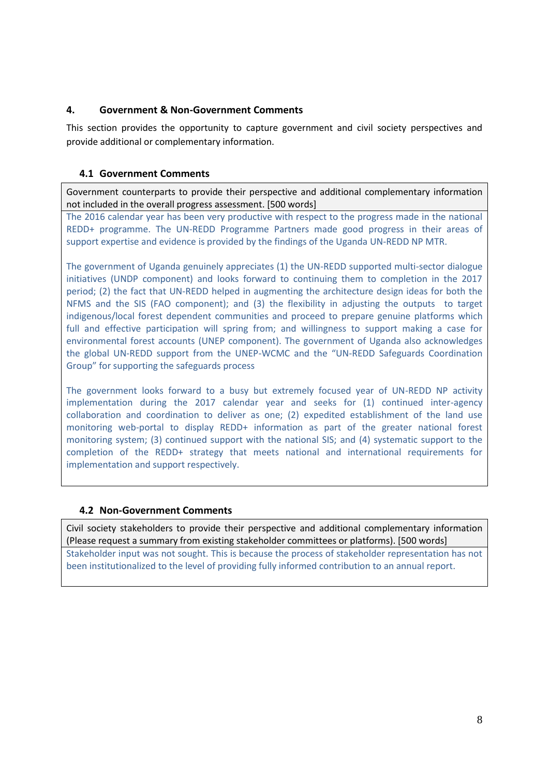## **4. Government & Non-Government Comments**

This section provides the opportunity to capture government and civil society perspectives and provide additional or complementary information.

## **4.1 Government Comments**

Government counterparts to provide their perspective and additional complementary information not included in the overall progress assessment. [500 words]

The 2016 calendar year has been very productive with respect to the progress made in the national REDD+ programme. The UN-REDD Programme Partners made good progress in their areas of support expertise and evidence is provided by the findings of the Uganda UN-REDD NP MTR.

The government of Uganda genuinely appreciates (1) the UN-REDD supported multi-sector dialogue initiatives (UNDP component) and looks forward to continuing them to completion in the 2017 period; (2) the fact that UN-REDD helped in augmenting the architecture design ideas for both the NFMS and the SIS (FAO component); and (3) the flexibility in adjusting the outputs to target indigenous/local forest dependent communities and proceed to prepare genuine platforms which full and effective participation will spring from; and willingness to support making a case for environmental forest accounts (UNEP component). The government of Uganda also acknowledges the global UN-REDD support from the UNEP-WCMC and the "UN-REDD Safeguards Coordination Group" for supporting the safeguards process

The government looks forward to a busy but extremely focused year of UN-REDD NP activity implementation during the 2017 calendar year and seeks for (1) continued inter-agency collaboration and coordination to deliver as one; (2) expedited establishment of the land use monitoring web-portal to display REDD+ information as part of the greater national forest monitoring system; (3) continued support with the national SIS; and (4) systematic support to the completion of the REDD+ strategy that meets national and international requirements for implementation and support respectively.

## **4.2 Non-Government Comments**

Civil society stakeholders to provide their perspective and additional complementary information (Please request a summary from existing stakeholder committees or platforms). [500 words]

Stakeholder input was not sought. This is because the process of stakeholder representation has not been institutionalized to the level of providing fully informed contribution to an annual report.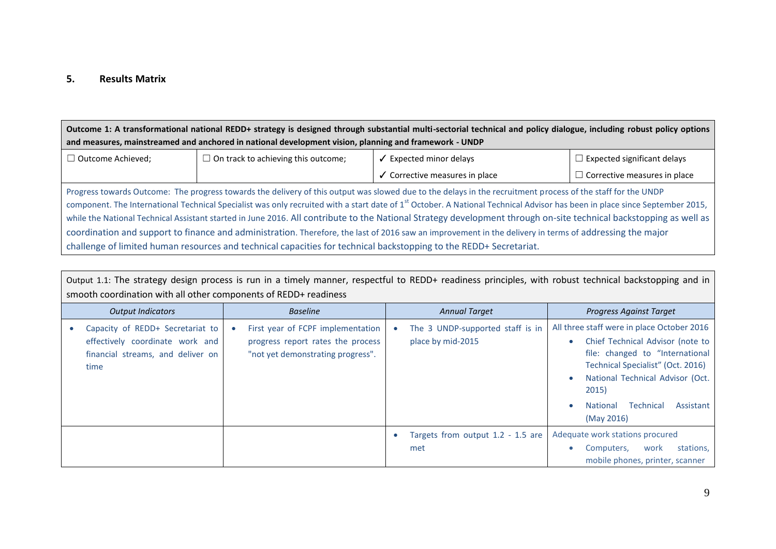## **5. Results Matrix**

**Outcome 1: A transformational national REDD+ strategy is designed through substantial multi-sectorial technical and policy dialogue, including robust policy options and measures, mainstreamed and anchored in national development vision, planning and framework - UNDP**

| l Outcome Achieved: | I On track to achieving this outcome; | Expected minor delavs        | $\Box$ Expected significant delays    |  |
|---------------------|---------------------------------------|------------------------------|---------------------------------------|--|
|                     |                                       | Corrective measures in place | $\sqcup$ Corrective measures in place |  |

Progress towards Outcome: The progress towards the delivery of this output was slowed due to the delays in the recruitment process of the staff for the UNDP component. The International Technical Specialist was only recruited with a start date of 1<sup>st</sup> October. A National Technical Advisor has been in place since September 2015, while the National Technical Assistant started in June 2016. All contribute to the National Strategy development through on-site technical backstopping as well as coordination and support to finance and administration. Therefore, the last of 2016 saw an improvement in the delivery in terms of addressing the major challenge of limited human resources and technical capacities for technical backstopping to the REDD+ Secretariat.

Output 1.1: The strategy design process is run in a timely manner, respectful to REDD+ readiness principles, with robust technical backstopping and in smooth coordination with all other components of REDD+ readiness *Output Indicators Baseline Annual Target Progress Against Target* Capacity of REDD+ Secretariat to effectively coordinate work and financial streams, and deliver on time First year of FCPF implementation progress report rates the process "not yet demonstrating progress". • The 3 UNDP-supported staff is in place by mid-2015 All three staff were in place October 2016 Chief Technical Advisor (note to file: changed to "International Technical Specialist" (Oct. 2016) National Technical Advisor (Oct. 2015) National Technical Assistant

|  |  |                                                                     | <b>National</b><br>(May 2016)   | <b>TECHNICAL</b> | ASSISTATIT |
|--|--|---------------------------------------------------------------------|---------------------------------|------------------|------------|
|  |  | Targets from output 1.2 - 1.5 are   Adequate work stations procured |                                 |                  |            |
|  |  | met                                                                 | Computers, work stations,       |                  |            |
|  |  |                                                                     | mobile phones, printer, scanner |                  |            |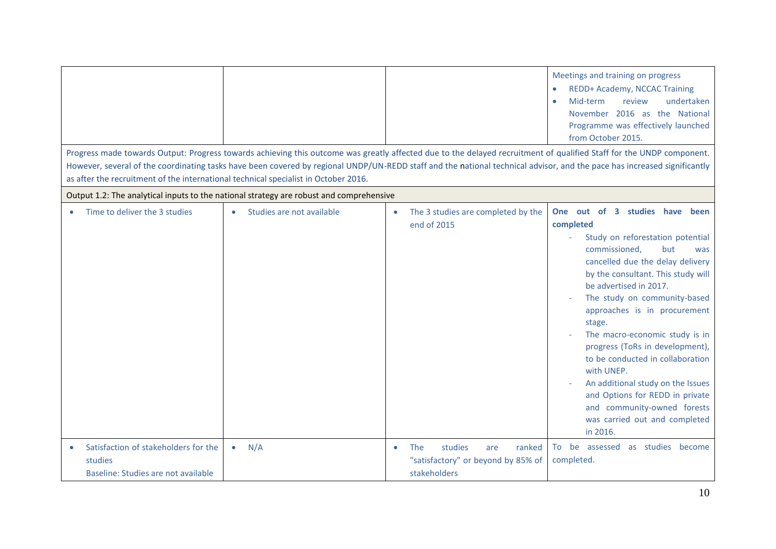|                                                                                        |                                                                                         |                                                                                                           | Meetings and training on progress<br>REDD+ Academy, NCCAC Training<br>Mid-term<br>review<br>undertaken<br>$\bullet$<br>November 2016 as the National<br>Programme was effectively launched<br>from October 2015.                                                                                                                                                                                                                                                                                                                                                        |
|----------------------------------------------------------------------------------------|-----------------------------------------------------------------------------------------|-----------------------------------------------------------------------------------------------------------|-------------------------------------------------------------------------------------------------------------------------------------------------------------------------------------------------------------------------------------------------------------------------------------------------------------------------------------------------------------------------------------------------------------------------------------------------------------------------------------------------------------------------------------------------------------------------|
| as after the recruitment of the international technical specialist in October 2016.    |                                                                                         |                                                                                                           | Progress made towards Output: Progress towards achieving this outcome was greatly affected due to the delayed recruitment of qualified Staff for the UNDP component.<br>However, several of the coordinating tasks have been covered by regional UNDP/UN-REDD staff and the national technical advisor, and the pace has increased significantly                                                                                                                                                                                                                        |
|                                                                                        | Output 1.2: The analytical inputs to the national strategy are robust and comprehensive |                                                                                                           |                                                                                                                                                                                                                                                                                                                                                                                                                                                                                                                                                                         |
| Time to deliver the 3 studies<br>$\bullet$                                             | Studies are not available                                                               | The 3 studies are completed by the<br>$\bullet$<br>end of 2015                                            | One out of 3 studies have been<br>completed<br>Study on reforestation potential<br>commissioned,<br>but<br>was<br>cancelled due the delay delivery<br>by the consultant. This study will<br>be advertised in 2017.<br>The study on community-based<br>approaches is in procurement<br>stage.<br>The macro-economic study is in<br>progress (ToRs in development),<br>to be conducted in collaboration<br>with UNEP.<br>An additional study on the Issues<br>and Options for REDD in private<br>and community-owned forests<br>was carried out and completed<br>in 2016. |
| Satisfaction of stakeholders for the<br>studies<br>Baseline: Studies are not available | N/A<br>$\bullet$                                                                        | studies<br>ranked<br><b>The</b><br>are<br>$\bullet$<br>"satisfactory" or beyond by 85% of<br>stakeholders | as studies become<br>To be assessed<br>completed.                                                                                                                                                                                                                                                                                                                                                                                                                                                                                                                       |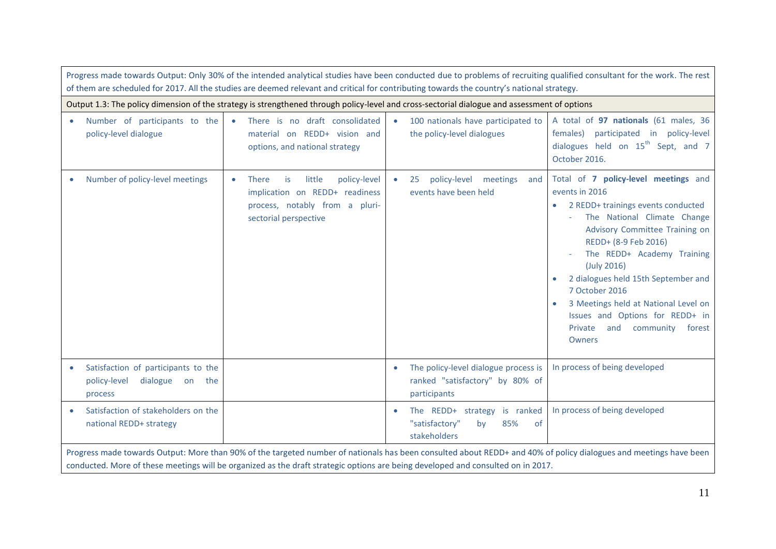| Progress made towards Output: Only 30% of the intended analytical studies have been conducted due to problems of recruiting qualified consultant for the work. The rest<br>of them are scheduled for 2017. All the studies are deemed relevant and critical for contributing towards the country's national strategy. |                                                                                                                                                |                                                                                                                                              |                                                                                                                                                                                                                                                                                                                                                                                                                  |  |  |  |
|-----------------------------------------------------------------------------------------------------------------------------------------------------------------------------------------------------------------------------------------------------------------------------------------------------------------------|------------------------------------------------------------------------------------------------------------------------------------------------|----------------------------------------------------------------------------------------------------------------------------------------------|------------------------------------------------------------------------------------------------------------------------------------------------------------------------------------------------------------------------------------------------------------------------------------------------------------------------------------------------------------------------------------------------------------------|--|--|--|
|                                                                                                                                                                                                                                                                                                                       |                                                                                                                                                | Output 1.3: The policy dimension of the strategy is strengthened through policy-level and cross-sectorial dialogue and assessment of options |                                                                                                                                                                                                                                                                                                                                                                                                                  |  |  |  |
| Number of participants to the<br>policy-level dialogue                                                                                                                                                                                                                                                                | • There is no draft consolidated<br>material on REDD+ vision and<br>options, and national strategy                                             | 100 nationals have participated to<br>$\bullet$<br>the policy-level dialogues                                                                | A total of 97 nationals (61 males, 36<br>females) participated in policy-level<br>dialogues held on 15 <sup>th</sup> Sept, and 7<br>October 2016.                                                                                                                                                                                                                                                                |  |  |  |
| Number of policy-level meetings                                                                                                                                                                                                                                                                                       | little<br>policy-level<br><b>There</b><br>is<br>۰<br>implication on REDD+ readiness<br>process, notably from a pluri-<br>sectorial perspective | policy-level meetings<br>25<br>and<br>$\bullet$<br>events have been held                                                                     | Total of 7 policy-level meetings and<br>events in 2016<br>2 REDD+ trainings events conducted<br>The National Climate Change<br>Advisory Committee Training on<br>REDD+ (8-9 Feb 2016)<br>The REDD+ Academy Training<br>(July 2016)<br>2 dialogues held 15th September and<br>7 October 2016<br>3 Meetings held at National Level on<br>Issues and Options for REDD+ in<br>Private and community forest<br>Owners |  |  |  |
| Satisfaction of participants to the<br>policy-level<br>dialogue on the<br>process                                                                                                                                                                                                                                     |                                                                                                                                                | The policy-level dialogue process is<br>ranked "satisfactory" by 80% of<br>participants                                                      | In process of being developed                                                                                                                                                                                                                                                                                                                                                                                    |  |  |  |
| Satisfaction of stakeholders on the<br>national REDD+ strategy                                                                                                                                                                                                                                                        |                                                                                                                                                | The REDD+ strategy is ranked<br>$\bullet$<br>"satisfactory"<br>85%<br>by<br><b>of</b><br>stakeholders                                        | In process of being developed                                                                                                                                                                                                                                                                                                                                                                                    |  |  |  |
|                                                                                                                                                                                                                                                                                                                       |                                                                                                                                                | conducted. More of these meetings will be organized as the draft strategic options are being developed and consulted on in 2017.             | Progress made towards Output: More than 90% of the targeted number of nationals has been consulted about REDD+ and 40% of policy dialogues and meetings have been                                                                                                                                                                                                                                                |  |  |  |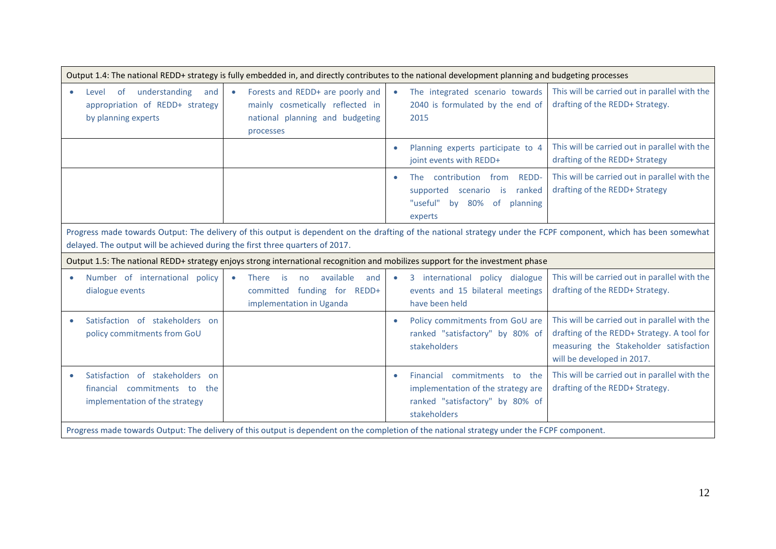| Output 1.4: The national REDD+ strategy is fully embedded in, and directly contributes to the national development planning and budgeting processes                                                                                                |                                                                                                                                             |                                                                                                                                       |                                                                                                                                                                     |  |  |
|----------------------------------------------------------------------------------------------------------------------------------------------------------------------------------------------------------------------------------------------------|---------------------------------------------------------------------------------------------------------------------------------------------|---------------------------------------------------------------------------------------------------------------------------------------|---------------------------------------------------------------------------------------------------------------------------------------------------------------------|--|--|
| understanding<br>of<br>and<br>Level<br>$\bullet$<br>appropriation of REDD+ strategy<br>by planning experts                                                                                                                                         | Forests and REDD+ are poorly and<br>mainly cosmetically reflected in<br>national planning and budgeting<br>processes                        | The integrated scenario towards<br>$\bullet$<br>2040 is formulated by the end of<br>2015                                              | This will be carried out in parallel with the<br>drafting of the REDD+ Strategy.                                                                                    |  |  |
|                                                                                                                                                                                                                                                    |                                                                                                                                             | Planning experts participate to 4<br>$\bullet$<br>joint events with REDD+                                                             | This will be carried out in parallel with the<br>drafting of the REDD+ Strategy                                                                                     |  |  |
|                                                                                                                                                                                                                                                    |                                                                                                                                             | The contribution from<br><b>REDD-</b><br>$\bullet$<br>supported scenario is<br>ranked<br>"useful" by 80% of<br>planning<br>experts    | This will be carried out in parallel with the<br>drafting of the REDD+ Strategy                                                                                     |  |  |
| Progress made towards Output: The delivery of this output is dependent on the drafting of the national strategy under the FCPF component, which has been somewhat<br>delayed. The output will be achieved during the first three quarters of 2017. |                                                                                                                                             |                                                                                                                                       |                                                                                                                                                                     |  |  |
| Output 1.5: The national REDD+ strategy enjoys strong international recognition and mobilizes support for the investment phase                                                                                                                     |                                                                                                                                             |                                                                                                                                       |                                                                                                                                                                     |  |  |
|                                                                                                                                                                                                                                                    |                                                                                                                                             |                                                                                                                                       |                                                                                                                                                                     |  |  |
| Number of international policy<br>$\bullet$<br>dialogue events                                                                                                                                                                                     | available<br>and<br><b>There</b><br>is<br>$\bullet$<br>no<br>committed funding for REDD+<br>implementation in Uganda                        | 3 international policy dialogue<br>$\bullet$<br>events and 15 bilateral meetings<br>have been held                                    | This will be carried out in parallel with the<br>drafting of the REDD+ Strategy.                                                                                    |  |  |
| Satisfaction of stakeholders on<br>$\bullet$<br>policy commitments from GoU                                                                                                                                                                        |                                                                                                                                             | Policy commitments from GoU are<br>$\bullet$<br>ranked "satisfactory" by 80% of<br>stakeholders                                       | This will be carried out in parallel with the<br>drafting of the REDD+ Strategy. A tool for<br>measuring the Stakeholder satisfaction<br>will be developed in 2017. |  |  |
| Satisfaction of stakeholders<br>on<br>$\bullet$<br>financial commitments to<br>the<br>implementation of the strategy                                                                                                                               | Progress made towards Output: The delivery of this output is dependent on the completion of the national strategy under the FCPF component. | Financial<br>commitments to the<br>$\bullet$<br>implementation of the strategy are<br>ranked "satisfactory" by 80% of<br>stakeholders | This will be carried out in parallel with the<br>drafting of the REDD+ Strategy.                                                                                    |  |  |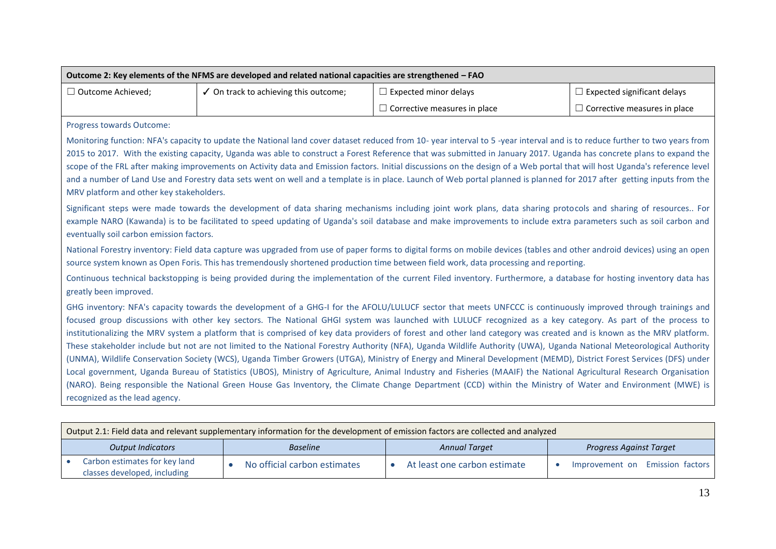| $\Box$ Outcome Achieved;<br>✓ On track to achieving this outcome;<br>$\Box$ Expected minor delays                                                                                                                                                                                                                                                                                                                                                                                                                                                                                                                                                                                                                                                                                                                                                                                                                                                                                                                                                                                                                                                                                                                            |                                                                                                                                                                                                                                                                                                                   |  | $\Box$ Expected significant delays  |  |  |  |  |
|------------------------------------------------------------------------------------------------------------------------------------------------------------------------------------------------------------------------------------------------------------------------------------------------------------------------------------------------------------------------------------------------------------------------------------------------------------------------------------------------------------------------------------------------------------------------------------------------------------------------------------------------------------------------------------------------------------------------------------------------------------------------------------------------------------------------------------------------------------------------------------------------------------------------------------------------------------------------------------------------------------------------------------------------------------------------------------------------------------------------------------------------------------------------------------------------------------------------------|-------------------------------------------------------------------------------------------------------------------------------------------------------------------------------------------------------------------------------------------------------------------------------------------------------------------|--|-------------------------------------|--|--|--|--|
|                                                                                                                                                                                                                                                                                                                                                                                                                                                                                                                                                                                                                                                                                                                                                                                                                                                                                                                                                                                                                                                                                                                                                                                                                              | $\Box$ Corrective measures in place                                                                                                                                                                                                                                                                               |  | $\Box$ Corrective measures in place |  |  |  |  |
| Progress towards Outcome:                                                                                                                                                                                                                                                                                                                                                                                                                                                                                                                                                                                                                                                                                                                                                                                                                                                                                                                                                                                                                                                                                                                                                                                                    |                                                                                                                                                                                                                                                                                                                   |  |                                     |  |  |  |  |
| Monitoring function: NFA's capacity to update the National land cover dataset reduced from 10- year interval to 5-year interval and is to reduce further to two years from<br>2015 to 2017. With the existing capacity, Uganda was able to construct a Forest Reference that was submitted in January 2017. Uganda has concrete plans to expand the<br>scope of the FRL after making improvements on Activity data and Emission factors. Initial discussions on the design of a Web portal that will host Uganda's reference level<br>and a number of Land Use and Forestry data sets went on well and a template is in place. Launch of Web portal planned is planned for 2017 after getting inputs from the<br>MRV platform and other key stakeholders.                                                                                                                                                                                                                                                                                                                                                                                                                                                                    |                                                                                                                                                                                                                                                                                                                   |  |                                     |  |  |  |  |
| Significant steps were made towards the development of data sharing mechanisms including joint work plans, data sharing protocols and sharing of resources For<br>example NARO (Kawanda) is to be facilitated to speed updating of Uganda's soil database and make improvements to include extra parameters such as soil carbon and<br>eventually soil carbon emission factors.                                                                                                                                                                                                                                                                                                                                                                                                                                                                                                                                                                                                                                                                                                                                                                                                                                              |                                                                                                                                                                                                                                                                                                                   |  |                                     |  |  |  |  |
|                                                                                                                                                                                                                                                                                                                                                                                                                                                                                                                                                                                                                                                                                                                                                                                                                                                                                                                                                                                                                                                                                                                                                                                                                              | National Forestry inventory: Field data capture was upgraded from use of paper forms to digital forms on mobile devices (tables and other android devices) using an open<br>source system known as Open Foris. This has tremendously shortened production time between field work, data processing and reporting. |  |                                     |  |  |  |  |
| greatly been improved.                                                                                                                                                                                                                                                                                                                                                                                                                                                                                                                                                                                                                                                                                                                                                                                                                                                                                                                                                                                                                                                                                                                                                                                                       | Continuous technical backstopping is being provided during the implementation of the current Filed inventory. Furthermore, a database for hosting inventory data has                                                                                                                                              |  |                                     |  |  |  |  |
| GHG inventory: NFA's capacity towards the development of a GHG-I for the AFOLU/LULUCF sector that meets UNFCCC is continuously improved through trainings and<br>focused group discussions with other key sectors. The National GHGI system was launched with LULUCF recognized as a key category. As part of the process to<br>institutionalizing the MRV system a platform that is comprised of key data providers of forest and other land category was created and is known as the MRV platform.<br>These stakeholder include but not are not limited to the National Forestry Authority (NFA), Uganda Wildlife Authority (UWA), Uganda National Meteorological Authority<br>(UNMA), Wildlife Conservation Society (WCS), Uganda Timber Growers (UTGA), Ministry of Energy and Mineral Development (MEMD), District Forest Services (DFS) under<br>Local government, Uganda Bureau of Statistics (UBOS), Ministry of Agriculture, Animal Industry and Fisheries (MAAIF) the National Agricultural Research Organisation<br>(NARO). Being responsible the National Green House Gas Inventory, the Climate Change Department (CCD) within the Ministry of Water and Environment (MWE) is<br>recognized as the lead agency. |                                                                                                                                                                                                                                                                                                                   |  |                                     |  |  |  |  |

|                          | Output 2.1. Field data and relevant supplementary information for the development of emission factors are collected and analyzed |  |                              |                      |                              |                         |                                 |  |
|--------------------------|----------------------------------------------------------------------------------------------------------------------------------|--|------------------------------|----------------------|------------------------------|-------------------------|---------------------------------|--|
| <b>Output Indicators</b> |                                                                                                                                  |  | <b>Baseline</b>              | <b>Annual Target</b> |                              | Progress Against Target |                                 |  |
|                          | Carbon estimates for key land<br>classes developed, including                                                                    |  | No official carbon estimates |                      | At least one carbon estimate |                         | Improvement on Emission factors |  |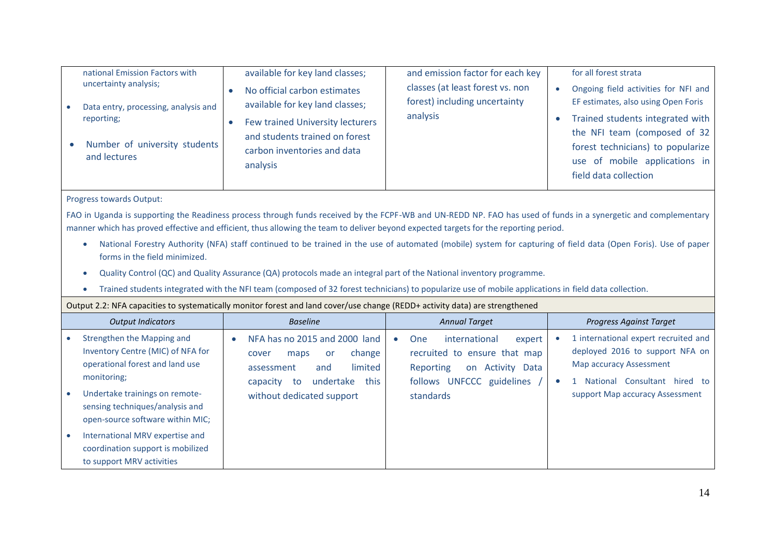| national Emission Factors with<br>uncertainty analysis;<br>Data entry, processing, analysis and<br>reporting;<br>Number of university students<br>and lectures                                                                                                                                                                                                                                                                                                                                                                                                                                                                                                                                                                                                                                                                                   | available for key land classes;<br>No official carbon estimates<br>$\bullet$<br>available for key land classes;<br>Few trained University lecturers<br>$\bullet$<br>and students trained on forest<br>carbon inventories and data<br>analysis | and emission factor for each key<br>classes (at least forest vs. non<br>forest) including uncertainty<br>analysis                                             | for all forest strata<br>Ongoing field activities for NFI and<br>$\bullet$<br>EF estimates, also using Open Foris<br>Trained students integrated with<br>the NFI team (composed of 32<br>forest technicians) to popularize<br>use of mobile applications in<br>field data collection |  |  |
|--------------------------------------------------------------------------------------------------------------------------------------------------------------------------------------------------------------------------------------------------------------------------------------------------------------------------------------------------------------------------------------------------------------------------------------------------------------------------------------------------------------------------------------------------------------------------------------------------------------------------------------------------------------------------------------------------------------------------------------------------------------------------------------------------------------------------------------------------|-----------------------------------------------------------------------------------------------------------------------------------------------------------------------------------------------------------------------------------------------|---------------------------------------------------------------------------------------------------------------------------------------------------------------|--------------------------------------------------------------------------------------------------------------------------------------------------------------------------------------------------------------------------------------------------------------------------------------|--|--|
| Progress towards Output:<br>FAO in Uganda is supporting the Readiness process through funds received by the FCPF-WB and UN-REDD NP. FAO has used of funds in a synergetic and complementary<br>manner which has proved effective and efficient, thus allowing the team to deliver beyond expected targets for the reporting period.<br>National Forestry Authority (NFA) staff continued to be trained in the use of automated (mobile) system for capturing of field data (Open Foris). Use of paper<br>$\bullet$<br>forms in the field minimized.<br>Quality Control (QC) and Quality Assurance (QA) protocols made an integral part of the National inventory programme.<br>$\bullet$<br>Trained students integrated with the NFI team (composed of 32 forest technicians) to popularize use of mobile applications in field data collection. |                                                                                                                                                                                                                                               |                                                                                                                                                               |                                                                                                                                                                                                                                                                                      |  |  |
|                                                                                                                                                                                                                                                                                                                                                                                                                                                                                                                                                                                                                                                                                                                                                                                                                                                  | Output 2.2: NFA capacities to systematically monitor forest and land cover/use change (REDD+ activity data) are strengthened                                                                                                                  |                                                                                                                                                               |                                                                                                                                                                                                                                                                                      |  |  |
| <b>Output Indicators</b>                                                                                                                                                                                                                                                                                                                                                                                                                                                                                                                                                                                                                                                                                                                                                                                                                         | <b>Baseline</b>                                                                                                                                                                                                                               | <b>Annual Target</b>                                                                                                                                          | <b>Progress Against Target</b>                                                                                                                                                                                                                                                       |  |  |
| Strengthen the Mapping and<br>$\bullet$<br>Inventory Centre (MIC) of NFA for<br>operational forest and land use<br>monitoring;<br>Undertake trainings on remote-<br>sensing techniques/analysis and<br>open-source software within MIC;                                                                                                                                                                                                                                                                                                                                                                                                                                                                                                                                                                                                          | NFA has no 2015 and 2000 land<br>change<br>maps<br>cover<br>or<br>limited<br>and<br>assessment<br>this<br>undertake<br>capacity to<br>without dedicated support                                                                               | international<br>One<br>expert<br>$\bullet$<br>recruited to ensure that map<br><b>Reporting</b><br>on Activity Data<br>follows UNFCCC guidelines<br>standards | 1 international expert recruited and<br>deployed 2016 to support NFA on<br><b>Map accuracy Assessment</b><br>1 National Consultant hired to<br>support Map accuracy Assessment                                                                                                       |  |  |
| International MRV expertise and<br>coordination support is mobilized<br>to support MRV activities                                                                                                                                                                                                                                                                                                                                                                                                                                                                                                                                                                                                                                                                                                                                                |                                                                                                                                                                                                                                               |                                                                                                                                                               |                                                                                                                                                                                                                                                                                      |  |  |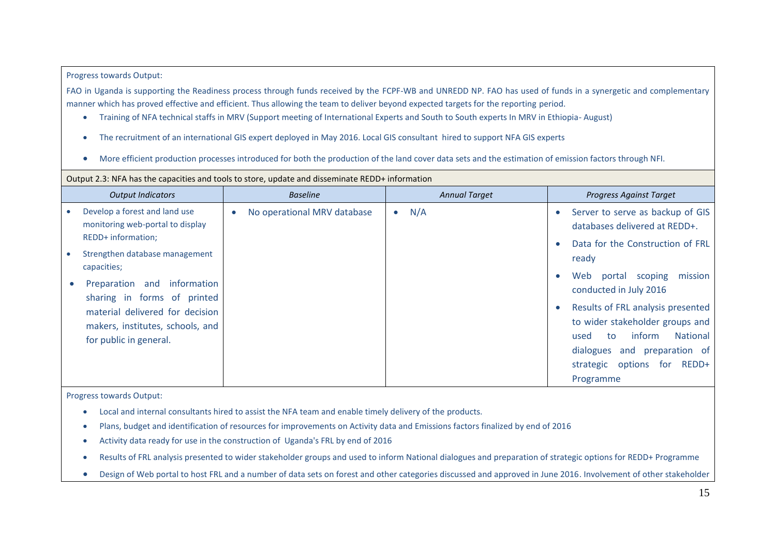#### Progress towards Output:

FAO in Uganda is supporting the Readiness process through funds received by the FCPF-WB and UNREDD NP. FAO has used of funds in a synergetic and complementary manner which has proved effective and efficient. Thus allowing the team to deliver beyond expected targets for the reporting period.

- Training of NFA technical staffs in MRV (Support meeting of International Experts and South to South experts In MRV in Ethiopia- August)
- The recruitment of an international GIS expert deployed in May 2016. Local GIS consultant hired to support NFA GIS experts
- More efficient production processes introduced for both the production of the land cover data sets and the estimation of emission factors through NFI.

#### Output 2.3: NFA has the capacities and tools to store, update and disseminate REDD+ information

|           | <b>Output Indicators</b>                                                                      | <b>Baseline</b>             | <b>Annual Target</b> | Progress Against Target                                                                                         |
|-----------|-----------------------------------------------------------------------------------------------|-----------------------------|----------------------|-----------------------------------------------------------------------------------------------------------------|
| $\bullet$ | Develop a forest and land use<br>monitoring web-portal to display<br>REDD+ information;       | No operational MRV database | N/A<br>$\bullet$     | Server to serve as backup of GIS<br>databases delivered at REDD+.<br>Data for the Construction of FRL           |
| $\bullet$ | Strengthen database management<br>capacities;                                                 |                             |                      | ready                                                                                                           |
|           | Preparation and<br>information<br>sharing in forms of printed                                 |                             |                      | Web<br>mission<br>portal<br>scoping<br>conducted in July 2016                                                   |
|           | material delivered for decision<br>makers, institutes, schools, and<br>for public in general. |                             |                      | Results of FRL analysis presented<br>to wider stakeholder groups and<br><b>National</b><br>inform<br>to<br>used |
|           |                                                                                               |                             |                      | dialogues and preparation of<br>REDD+<br>strategic options<br>for                                               |
|           |                                                                                               |                             |                      | Programme                                                                                                       |

Progress towards Output:

- Local and internal consultants hired to assist the NFA team and enable timely delivery of the products.
- Plans, budget and identification of resources for improvements on Activity data and Emissions factors finalized by end of 2016
- Activity data ready for use in the construction of Uganda's FRL by end of 2016
- Results of FRL analysis presented to wider stakeholder groups and used to inform National dialogues and preparation of strategic options for REDD+ Programme
- Design of Web portal to host FRL and a number of data sets on forest and other categories discussed and approved in June 2016. Involvement of other stakeholder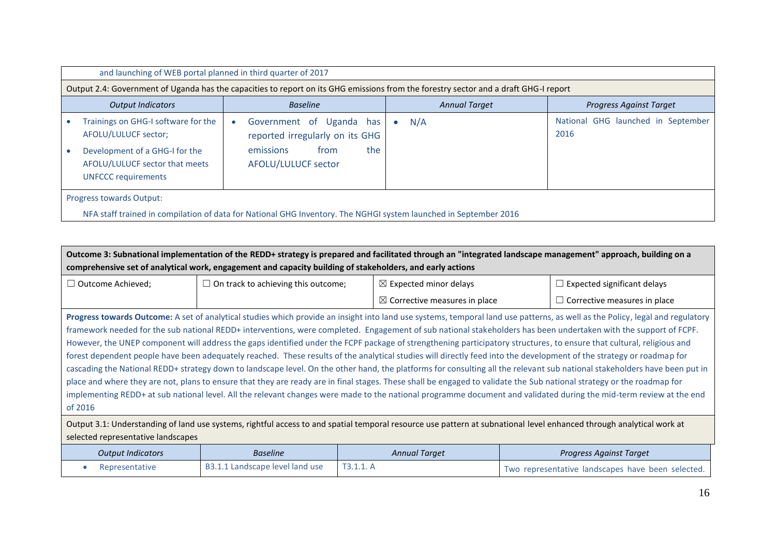| and launching of WEB portal planned in third quarter of 2017                                                                    |  |                                                                                                                |           |                                                                                                                                      |                                            |  |  |
|---------------------------------------------------------------------------------------------------------------------------------|--|----------------------------------------------------------------------------------------------------------------|-----------|--------------------------------------------------------------------------------------------------------------------------------------|--------------------------------------------|--|--|
|                                                                                                                                 |  |                                                                                                                |           | Output 2.4: Government of Uganda has the capacities to report on its GHG emissions from the forestry sector and a draft GHG-I report |                                            |  |  |
| <b>Output Indicators</b>                                                                                                        |  | <b>Baseline</b>                                                                                                |           | <b>Annual Target</b>                                                                                                                 | <b>Progress Against Target</b>             |  |  |
| Trainings on GHG-I software for the<br>AFOLU/LULUCF sector;<br>Development of a GHG-I for the<br>AFOLU/LULUCF sector that meets |  | Government of Uganda has<br>reported irregularly on its GHG<br>the<br>emissions<br>from<br>AFOLU/LULUCF sector | $\bullet$ | N/A                                                                                                                                  | National GHG launched in September<br>2016 |  |  |
| <b>UNFCCC requirements</b><br>Progress towards Output:                                                                          |  |                                                                                                                |           |                                                                                                                                      |                                            |  |  |
| NFA staff trained in compilation of data for National GHG Inventory. The NGHGI system launched in September 2016                |  |                                                                                                                |           |                                                                                                                                      |                                            |  |  |

| Outcome 3: Subnational implementation of the REDD+ strategy is prepared and facilitated through an "integrated landscape management" approach, building on a<br>comprehensive set of analytical work, engagement and capacity building of stakeholders, and early actions                                                                                                                                                                                                                                                                                                                                                                                                                                                                                                                                                                                                                                                                                                                                                                                                                                                                                                                                                                    |                                 |           |                                          |  |                                                   |  |  |
|----------------------------------------------------------------------------------------------------------------------------------------------------------------------------------------------------------------------------------------------------------------------------------------------------------------------------------------------------------------------------------------------------------------------------------------------------------------------------------------------------------------------------------------------------------------------------------------------------------------------------------------------------------------------------------------------------------------------------------------------------------------------------------------------------------------------------------------------------------------------------------------------------------------------------------------------------------------------------------------------------------------------------------------------------------------------------------------------------------------------------------------------------------------------------------------------------------------------------------------------|---------------------------------|-----------|------------------------------------------|--|---------------------------------------------------|--|--|
| $\Box$ On track to achieving this outcome;<br>$\Box$ Outcome Achieved;<br>$\boxtimes$ Expected minor delays                                                                                                                                                                                                                                                                                                                                                                                                                                                                                                                                                                                                                                                                                                                                                                                                                                                                                                                                                                                                                                                                                                                                  |                                 |           |                                          |  | $\Box$ Expected significant delays                |  |  |
|                                                                                                                                                                                                                                                                                                                                                                                                                                                                                                                                                                                                                                                                                                                                                                                                                                                                                                                                                                                                                                                                                                                                                                                                                                              |                                 |           | $\boxtimes$ Corrective measures in place |  | $\Box$ Corrective measures in place               |  |  |
| Progress towards Outcome: A set of analytical studies which provide an insight into land use systems, temporal land use patterns, as well as the Policy, legal and regulatory<br>framework needed for the sub national REDD+ interventions, were completed. Engagement of sub national stakeholders has been undertaken with the support of FCPF.<br>However, the UNEP component will address the gaps identified under the FCPF package of strengthening participatory structures, to ensure that cultural, religious and<br>forest dependent people have been adequately reached. These results of the analytical studies will directly feed into the development of the strategy or roadmap for<br>cascading the National REDD+ strategy down to landscape level. On the other hand, the platforms for consulting all the relevant sub national stakeholders have been put in<br>place and where they are not, plans to ensure that they are ready are in final stages. These shall be engaged to validate the Sub national strategy or the roadmap for<br>implementing REDD+ at sub national level. All the relevant changes were made to the national programme document and validated during the mid-term review at the end<br>of 2016 |                                 |           |                                          |  |                                                   |  |  |
| Output 3.1: Understanding of land use systems, rightful access to and spatial temporal resource use pattern at subnational level enhanced through analytical work at<br>selected representative landscapes                                                                                                                                                                                                                                                                                                                                                                                                                                                                                                                                                                                                                                                                                                                                                                                                                                                                                                                                                                                                                                   |                                 |           |                                          |  |                                                   |  |  |
| <b>Output Indicators</b>                                                                                                                                                                                                                                                                                                                                                                                                                                                                                                                                                                                                                                                                                                                                                                                                                                                                                                                                                                                                                                                                                                                                                                                                                     | <b>Baseline</b>                 |           | <b>Annual Target</b>                     |  | <b>Progress Against Target</b>                    |  |  |
| Representative                                                                                                                                                                                                                                                                                                                                                                                                                                                                                                                                                                                                                                                                                                                                                                                                                                                                                                                                                                                                                                                                                                                                                                                                                               | B3.1.1 Landscape level land use | T3.1.1. A |                                          |  | Two representative landscapes have been selected. |  |  |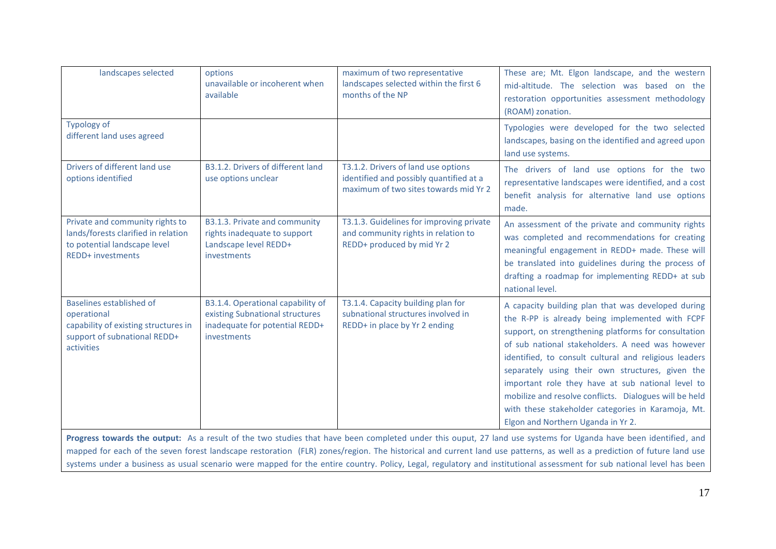| landscapes selected                                                                                                                                                                                                                                                                                                       | options<br>unavailable or incoherent when<br>available                                                                | maximum of two representative<br>landscapes selected within the first 6<br>months of the NP                             | These are; Mt. Elgon landscape, and the western<br>mid-altitude. The selection was based on the<br>restoration opportunities assessment methodology<br>(ROAM) zonation.                                                                                                                                                                                                                                                                                                                                                                   |  |
|---------------------------------------------------------------------------------------------------------------------------------------------------------------------------------------------------------------------------------------------------------------------------------------------------------------------------|-----------------------------------------------------------------------------------------------------------------------|-------------------------------------------------------------------------------------------------------------------------|-------------------------------------------------------------------------------------------------------------------------------------------------------------------------------------------------------------------------------------------------------------------------------------------------------------------------------------------------------------------------------------------------------------------------------------------------------------------------------------------------------------------------------------------|--|
| Typology of<br>different land uses agreed                                                                                                                                                                                                                                                                                 |                                                                                                                       |                                                                                                                         | Typologies were developed for the two selected<br>landscapes, basing on the identified and agreed upon<br>land use systems.                                                                                                                                                                                                                                                                                                                                                                                                               |  |
| Drivers of different land use<br>options identified                                                                                                                                                                                                                                                                       | B3.1.2. Drivers of different land<br>use options unclear                                                              | T3.1.2. Drivers of land use options<br>identified and possibly quantified at a<br>maximum of two sites towards mid Yr 2 | The drivers of land use options for the two<br>representative landscapes were identified, and a cost<br>benefit analysis for alternative land use options<br>made.                                                                                                                                                                                                                                                                                                                                                                        |  |
| Private and community rights to<br>lands/forests clarified in relation<br>to potential landscape level<br><b>REDD+ investments</b>                                                                                                                                                                                        | B3.1.3. Private and community<br>rights inadequate to support<br>Landscape level REDD+<br>investments                 | T3.1.3. Guidelines for improving private<br>and community rights in relation to<br>REDD+ produced by mid Yr 2           | An assessment of the private and community rights<br>was completed and recommendations for creating<br>meaningful engagement in REDD+ made. These will<br>be translated into guidelines during the process of<br>drafting a roadmap for implementing REDD+ at sub<br>national level.                                                                                                                                                                                                                                                      |  |
| <b>Baselines established of</b><br>operational<br>capability of existing structures in<br>support of subnational REDD+<br>activities                                                                                                                                                                                      | B3.1.4. Operational capability of<br>existing Subnational structures<br>inadequate for potential REDD+<br>investments | T3.1.4. Capacity building plan for<br>subnational structures involved in<br>REDD+ in place by Yr 2 ending               | A capacity building plan that was developed during<br>the R-PP is already being implemented with FCPF<br>support, on strengthening platforms for consultation<br>of sub national stakeholders. A need was however<br>identified, to consult cultural and religious leaders<br>separately using their own structures, given the<br>important role they have at sub national level to<br>mobilize and resolve conflicts. Dialogues will be held<br>with these stakeholder categories in Karamoja, Mt.<br>Elgon and Northern Uganda in Yr 2. |  |
| Progress towards the output: As a result of the two studies that have been completed under this ouput, 27 land use systems for Uganda have been identified, and<br>different of the correlation bediever accounting from accordances who has stated and common bediever according to a condition of fundamental problems. |                                                                                                                       |                                                                                                                         |                                                                                                                                                                                                                                                                                                                                                                                                                                                                                                                                           |  |

mapped for each of the seven forest landscape restoration (FLR) zones/region. The historical and current land use patterns, as well as a prediction of future land use systems under a business as usual scenario were mapped for the entire country. Policy, Legal, regulatory and institutional assessment for sub national level has been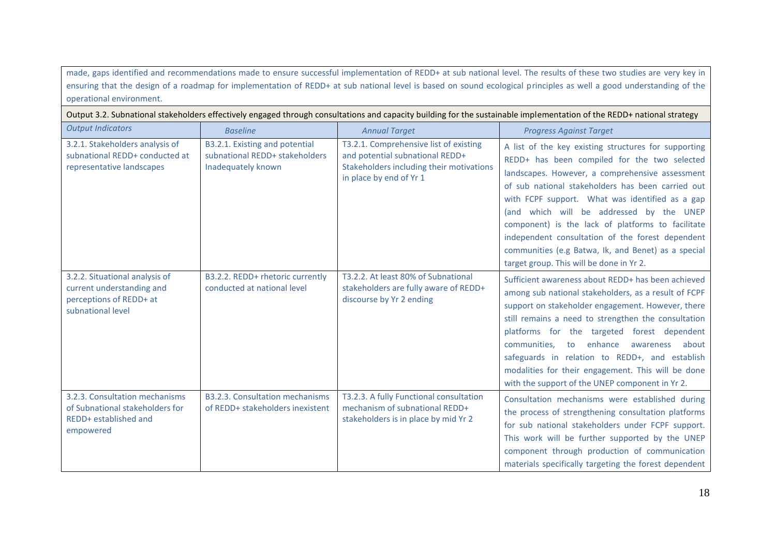made, gaps identified and recommendations made to ensure successful implementation of REDD+ at sub national level. The results of these two studies are very key in ensuring that the design of a roadmap for implementation of REDD+ at sub national level is based on sound ecological principles as well a good understanding of the operational environment.

Output 3.2. Subnational stakeholders effectively engaged through consultations and capacity building for the sustainable implementation of the REDD+ national strategy

| <b>Output Indicators</b>                                                                                    | <b>Baseline</b>                                                                        | <b>Annual Target</b>                                                                                                                             | <b>Progress Against Target</b>                                                                                                                                                                                                                                                                                                                                                                                                                                                                                          |
|-------------------------------------------------------------------------------------------------------------|----------------------------------------------------------------------------------------|--------------------------------------------------------------------------------------------------------------------------------------------------|-------------------------------------------------------------------------------------------------------------------------------------------------------------------------------------------------------------------------------------------------------------------------------------------------------------------------------------------------------------------------------------------------------------------------------------------------------------------------------------------------------------------------|
| 3.2.1. Stakeholders analysis of<br>subnational REDD+ conducted at<br>representative landscapes              | B3.2.1. Existing and potential<br>subnational REDD+ stakeholders<br>Inadequately known | T3.2.1. Comprehensive list of existing<br>and potential subnational REDD+<br>Stakeholders including their motivations<br>in place by end of Yr 1 | A list of the key existing structures for supporting<br>REDD+ has been compiled for the two selected<br>landscapes. However, a comprehensive assessment<br>of sub national stakeholders has been carried out<br>with FCPF support. What was identified as a gap<br>(and which will be addressed by the UNEP<br>component) is the lack of platforms to facilitate<br>independent consultation of the forest dependent<br>communities (e.g Batwa, lk, and Benet) as a special<br>target group. This will be done in Yr 2. |
| 3.2.2. Situational analysis of<br>current understanding and<br>perceptions of REDD+ at<br>subnational level | B3.2.2. REDD+ rhetoric currently<br>conducted at national level                        | T3.2.2. At least 80% of Subnational<br>stakeholders are fully aware of REDD+<br>discourse by Yr 2 ending                                         | Sufficient awareness about REDD+ has been achieved<br>among sub national stakeholders, as a result of FCPF<br>support on stakeholder engagement. However, there<br>still remains a need to strengthen the consultation<br>platforms for the targeted forest dependent<br>communities, to enhance<br>awareness<br>about<br>safeguards in relation to REDD+, and establish<br>modalities for their engagement. This will be done<br>with the support of the UNEP component in Yr 2.                                       |
| 3.2.3. Consultation mechanisms<br>of Subnational stakeholders for<br>REDD+ established and<br>empowered     | <b>B3.2.3. Consultation mechanisms</b><br>of REDD+ stakeholders inexistent             | T3.2.3. A fully Functional consultation<br>mechanism of subnational REDD+<br>stakeholders is in place by mid Yr 2                                | Consultation mechanisms were established during<br>the process of strengthening consultation platforms<br>for sub national stakeholders under FCPF support.<br>This work will be further supported by the UNEP<br>component through production of communication<br>materials specifically targeting the forest dependent                                                                                                                                                                                                |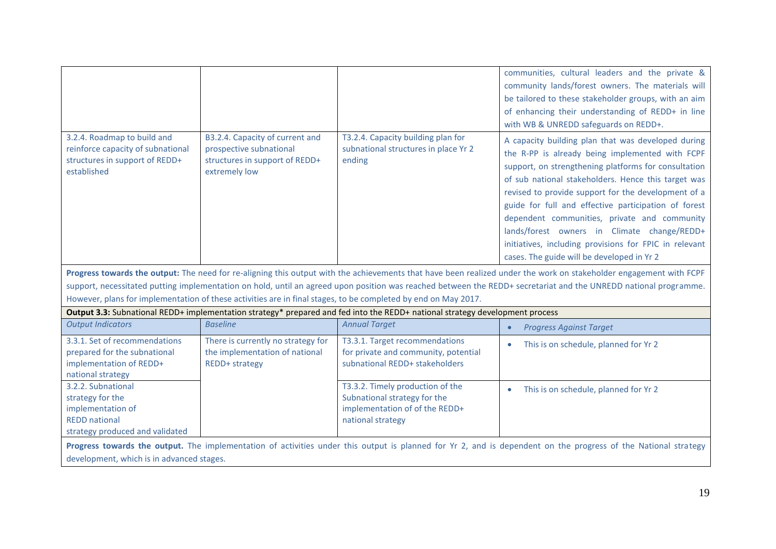|                                                                                                                                                                                                             |                                                                                                               |                                                                                                                                                                                                                                                | communities, cultural leaders and the private &<br>community lands/forest owners. The materials will<br>be tailored to these stakeholder groups, with an aim<br>of enhancing their understanding of REDD+ in line<br>with WB & UNREDD safeguards on REDD+.                                                                                                                                                                                                                                                                                 |  |  |
|-------------------------------------------------------------------------------------------------------------------------------------------------------------------------------------------------------------|---------------------------------------------------------------------------------------------------------------|------------------------------------------------------------------------------------------------------------------------------------------------------------------------------------------------------------------------------------------------|--------------------------------------------------------------------------------------------------------------------------------------------------------------------------------------------------------------------------------------------------------------------------------------------------------------------------------------------------------------------------------------------------------------------------------------------------------------------------------------------------------------------------------------------|--|--|
| 3.2.4. Roadmap to build and<br>reinforce capacity of subnational<br>structures in support of REDD+<br>established                                                                                           | B3.2.4. Capacity of current and<br>prospective subnational<br>structures in support of REDD+<br>extremely low | T3.2.4. Capacity building plan for<br>subnational structures in place Yr 2<br>ending                                                                                                                                                           | A capacity building plan that was developed during<br>the R-PP is already being implemented with FCPF<br>support, on strengthening platforms for consultation<br>of sub national stakeholders. Hence this target was<br>revised to provide support for the development of a<br>guide for full and effective participation of forest<br>dependent communities, private and community<br>lands/forest owners in Climate change/REDD+<br>initiatives, including provisions for FPIC in relevant<br>cases. The guide will be developed in Yr 2 |  |  |
|                                                                                                                                                                                                             |                                                                                                               |                                                                                                                                                                                                                                                | Progress towards the output: The need for re-aligning this output with the achievements that have been realized under the work on stakeholder engagement with FCPF                                                                                                                                                                                                                                                                                                                                                                         |  |  |
|                                                                                                                                                                                                             |                                                                                                               |                                                                                                                                                                                                                                                | support, necessitated putting implementation on hold, until an agreed upon position was reached between the REDD+ secretariat and the UNREDD national programme.                                                                                                                                                                                                                                                                                                                                                                           |  |  |
|                                                                                                                                                                                                             |                                                                                                               | However, plans for implementation of these activities are in final stages, to be completed by end on May 2017.<br>Output 3.3: Subnational REDD+ implementation strategy* prepared and fed into the REDD+ national strategy development process |                                                                                                                                                                                                                                                                                                                                                                                                                                                                                                                                            |  |  |
| <b>Output Indicators</b>                                                                                                                                                                                    | <b>Baseline</b>                                                                                               | <b>Annual Target</b>                                                                                                                                                                                                                           | <b>Progress Against Target</b>                                                                                                                                                                                                                                                                                                                                                                                                                                                                                                             |  |  |
| 3.3.1. Set of recommendations<br>prepared for the subnational<br>implementation of REDD+<br>national strategy                                                                                               | There is currently no strategy for<br>the implementation of national<br><b>REDD+</b> strategy                 | T3.3.1. Target recommendations<br>for private and community, potential<br>subnational REDD+ stakeholders                                                                                                                                       | This is on schedule, planned for Yr 2                                                                                                                                                                                                                                                                                                                                                                                                                                                                                                      |  |  |
| 3.2.2. Subnational<br>strategy for the<br>implementation of<br><b>REDD</b> national<br>strategy produced and validated                                                                                      |                                                                                                               | T3.3.2. Timely production of the<br>Subnational strategy for the<br>implementation of of the REDD+<br>national strategy                                                                                                                        | This is on schedule, planned for Yr 2                                                                                                                                                                                                                                                                                                                                                                                                                                                                                                      |  |  |
| Progress towards the output. The implementation of activities under this output is planned for Yr 2, and is dependent on the progress of the National strategy<br>development, which is in advanced stages. |                                                                                                               |                                                                                                                                                                                                                                                |                                                                                                                                                                                                                                                                                                                                                                                                                                                                                                                                            |  |  |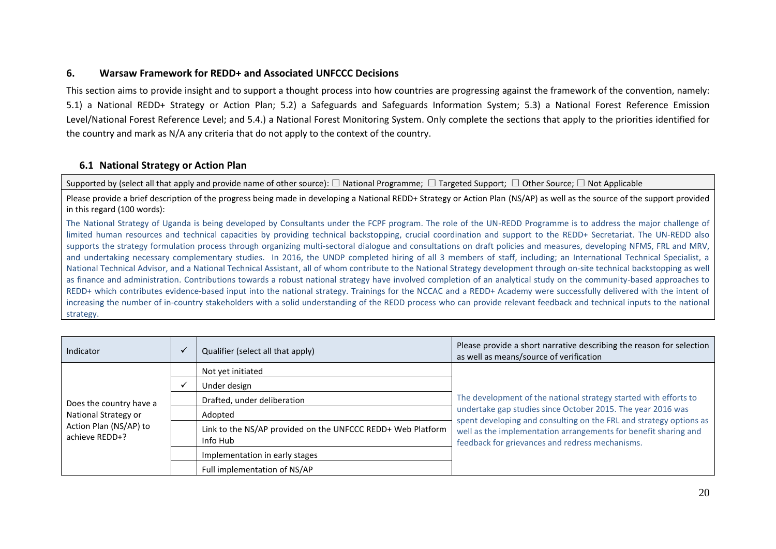## **6. Warsaw Framework for REDD+ and Associated UNFCCC Decisions**

This section aims to provide insight and to support a thought process into how countries are progressing against the framework of the convention, namely: 5.1) a National REDD+ Strategy or Action Plan; 5.2) a Safeguards and Safeguards Information System; 5.3) a National Forest Reference Emission Level/National Forest Reference Level; and 5.4.) a National Forest Monitoring System. Only complete the sections that apply to the priorities identified for the country and mark as N/A any criteria that do not apply to the context of the country.

## **6.1 National Strategy or Action Plan**

Supported by (select all that apply and provide name of other source): □ National Programme; □ Targeted Support; □ Other Source; □ Not Applicable

Please provide a brief description of the progress being made in developing a National REDD+ Strategy or Action Plan (NS/AP) as well as the source of the support provided in this regard (100 words):

The National Strategy of Uganda is being developed by Consultants under the FCPF program. The role of the UN-REDD Programme is to address the major challenge of limited human resources and technical capacities by providing technical backstopping, crucial coordination and support to the REDD+ Secretariat. The UN-REDD also supports the strategy formulation process through organizing multi-sectoral dialogue and consultations on draft policies and measures, developing NFMS, FRL and MRV, and undertaking necessary complementary studies. In 2016, the UNDP completed hiring of all 3 members of staff, including; an International Technical Specialist, a National Technical Advisor, and a National Technical Assistant, all of whom contribute to the National Strategy development through on-site technical backstopping as well as finance and administration. Contributions towards a robust national strategy have involved completion of an analytical study on the community-based approaches to REDD+ which contributes evidence-based input into the national strategy. Trainings for the NCCAC and a REDD+ Academy were successfully delivered with the intent of increasing the number of in-country stakeholders with a solid understanding of the REDD process who can provide relevant feedback and technical inputs to the national strategy.

| Indicator                                | Qualifier (select all that apply)                                       | Please provide a short narrative describing the reason for selection<br>as well as means/source of verification                   |
|------------------------------------------|-------------------------------------------------------------------------|-----------------------------------------------------------------------------------------------------------------------------------|
|                                          | Not yet initiated                                                       |                                                                                                                                   |
|                                          | Under design                                                            |                                                                                                                                   |
| Does the country have a                  | Drafted, under deliberation                                             | The development of the national strategy started with efforts to                                                                  |
| National Strategy or                     | Adopted                                                                 | undertake gap studies since October 2015. The year 2016 was<br>spent developing and consulting on the FRL and strategy options as |
| Action Plan (NS/AP) to<br>achieve REDD+? | Link to the NS/AP provided on the UNFCCC REDD+ Web Platform<br>Info Hub | well as the implementation arrangements for benefit sharing and<br>feedback for grievances and redress mechanisms.                |
|                                          | Implementation in early stages                                          |                                                                                                                                   |
|                                          | Full implementation of NS/AP                                            |                                                                                                                                   |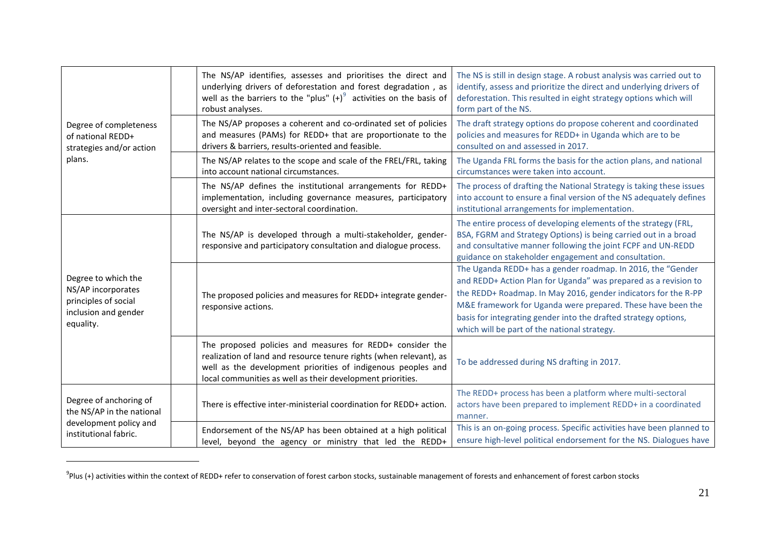|                                                                                                        | The NS/AP identifies, assesses and prioritises the direct and<br>underlying drivers of deforestation and forest degradation, as<br>well as the barriers to the "plus" $(+)^9$ activities on the basis of<br>robust analyses.                                  | The NS is still in design stage. A robust analysis was carried out to<br>identify, assess and prioritize the direct and underlying drivers of<br>deforestation. This resulted in eight strategy options which will<br>form part of the NS.                                                                                                                                         |
|--------------------------------------------------------------------------------------------------------|---------------------------------------------------------------------------------------------------------------------------------------------------------------------------------------------------------------------------------------------------------------|------------------------------------------------------------------------------------------------------------------------------------------------------------------------------------------------------------------------------------------------------------------------------------------------------------------------------------------------------------------------------------|
| Degree of completeness<br>of national REDD+<br>strategies and/or action                                | The NS/AP proposes a coherent and co-ordinated set of policies<br>and measures (PAMs) for REDD+ that are proportionate to the<br>drivers & barriers, results-oriented and feasible.                                                                           | The draft strategy options do propose coherent and coordinated<br>policies and measures for REDD+ in Uganda which are to be<br>consulted on and assessed in 2017.                                                                                                                                                                                                                  |
| plans.                                                                                                 | The NS/AP relates to the scope and scale of the FREL/FRL, taking<br>into account national circumstances.                                                                                                                                                      | The Uganda FRL forms the basis for the action plans, and national<br>circumstances were taken into account.                                                                                                                                                                                                                                                                        |
|                                                                                                        | The NS/AP defines the institutional arrangements for REDD+<br>implementation, including governance measures, participatory<br>oversight and inter-sectoral coordination.                                                                                      | The process of drafting the National Strategy is taking these issues<br>into account to ensure a final version of the NS adequately defines<br>institutional arrangements for implementation.                                                                                                                                                                                      |
|                                                                                                        | The NS/AP is developed through a multi-stakeholder, gender-<br>responsive and participatory consultation and dialogue process.                                                                                                                                | The entire process of developing elements of the strategy (FRL,<br>BSA, FGRM and Strategy Options) is being carried out in a broad<br>and consultative manner following the joint FCPF and UN-REDD<br>guidance on stakeholder engagement and consultation.                                                                                                                         |
| Degree to which the<br>NS/AP incorporates<br>principles of social<br>inclusion and gender<br>equality. | The proposed policies and measures for REDD+ integrate gender-<br>responsive actions.                                                                                                                                                                         | The Uganda REDD+ has a gender roadmap. In 2016, the "Gender<br>and REDD+ Action Plan for Uganda" was prepared as a revision to<br>the REDD+ Roadmap. In May 2016, gender indicators for the R-PP<br>M&E framework for Uganda were prepared. These have been the<br>basis for integrating gender into the drafted strategy options,<br>which will be part of the national strategy. |
|                                                                                                        | The proposed policies and measures for REDD+ consider the<br>realization of land and resource tenure rights (when relevant), as<br>well as the development priorities of indigenous peoples and<br>local communities as well as their development priorities. | To be addressed during NS drafting in 2017.                                                                                                                                                                                                                                                                                                                                        |
| Degree of anchoring of<br>the NS/AP in the national                                                    | There is effective inter-ministerial coordination for REDD+ action.                                                                                                                                                                                           | The REDD+ process has been a platform where multi-sectoral<br>actors have been prepared to implement REDD+ in a coordinated<br>manner.                                                                                                                                                                                                                                             |
| development policy and<br>institutional fabric.                                                        | Endorsement of the NS/AP has been obtained at a high political<br>level, beyond the agency or ministry that led the REDD+                                                                                                                                     | This is an on-going process. Specific activities have been planned to<br>ensure high-level political endorsement for the NS. Dialogues have                                                                                                                                                                                                                                        |

 $^9$ Plus (+) activities within the context of REDD+ refer to conservation of forest carbon stocks, sustainable management of forests and enhancement of forest carbon stocks

 $\overline{a}$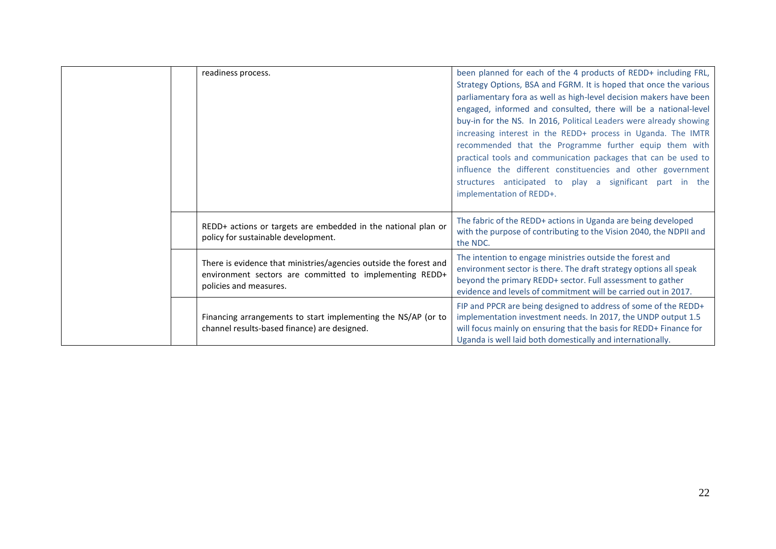| readiness process.                                                                                                                                     | been planned for each of the 4 products of REDD+ including FRL,<br>Strategy Options, BSA and FGRM. It is hoped that once the various<br>parliamentary fora as well as high-level decision makers have been<br>engaged, informed and consulted, there will be a national-level<br>buy-in for the NS. In 2016, Political Leaders were already showing<br>increasing interest in the REDD+ process in Uganda. The IMTR<br>recommended that the Programme further equip them with<br>practical tools and communication packages that can be used to<br>influence the different constituencies and other government<br>structures anticipated to play a significant part in the<br>implementation of REDD+. |
|--------------------------------------------------------------------------------------------------------------------------------------------------------|--------------------------------------------------------------------------------------------------------------------------------------------------------------------------------------------------------------------------------------------------------------------------------------------------------------------------------------------------------------------------------------------------------------------------------------------------------------------------------------------------------------------------------------------------------------------------------------------------------------------------------------------------------------------------------------------------------|
| REDD+ actions or targets are embedded in the national plan or<br>policy for sustainable development.                                                   | The fabric of the REDD+ actions in Uganda are being developed<br>with the purpose of contributing to the Vision 2040, the NDPII and<br>the NDC.                                                                                                                                                                                                                                                                                                                                                                                                                                                                                                                                                        |
| There is evidence that ministries/agencies outside the forest and<br>environment sectors are committed to implementing REDD+<br>policies and measures. | The intention to engage ministries outside the forest and<br>environment sector is there. The draft strategy options all speak<br>beyond the primary REDD+ sector. Full assessment to gather<br>evidence and levels of commitment will be carried out in 2017.                                                                                                                                                                                                                                                                                                                                                                                                                                         |
| Financing arrangements to start implementing the NS/AP (or to<br>channel results-based finance) are designed.                                          | FIP and PPCR are being designed to address of some of the REDD+<br>implementation investment needs. In 2017, the UNDP output 1.5<br>will focus mainly on ensuring that the basis for REDD+ Finance for<br>Uganda is well laid both domestically and internationally.                                                                                                                                                                                                                                                                                                                                                                                                                                   |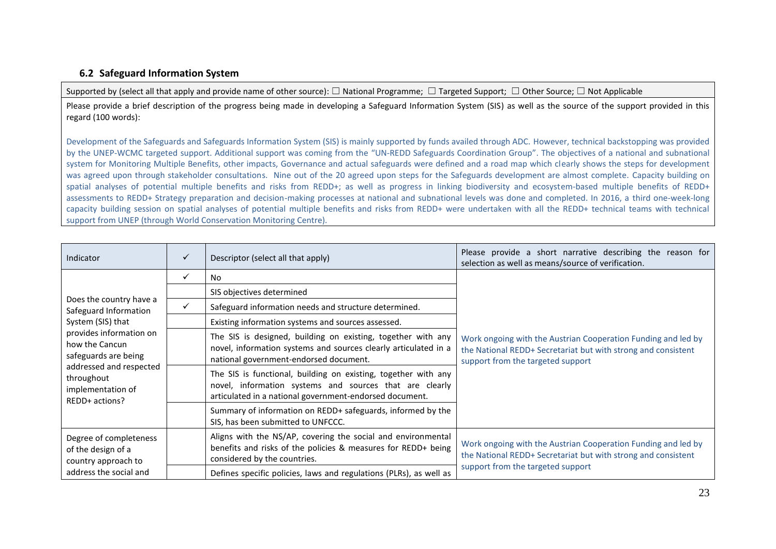## **6.2 Safeguard Information System**

Supported by (select all that apply and provide name of other source): □ National Programme; □ Targeted Support; □ Other Source; □ Not Applicable

Please provide a brief description of the progress being made in developing a Safeguard Information System (SIS) as well as the source of the support provided in this regard (100 words):

Development of the Safeguards and Safeguards Information System (SIS) is mainly supported by funds availed through ADC. However, technical backstopping was provided by the UNEP-WCMC targeted support. Additional support was coming from the "UN-REDD Safeguards Coordination Group". The objectives of a national and subnational system for Monitoring Multiple Benefits, other impacts, Governance and actual safeguards were defined and a road map which clearly shows the steps for development was agreed upon through stakeholder consultations. Nine out of the 20 agreed upon steps for the Safeguards development are almost complete. Capacity building on spatial analyses of potential multiple benefits and risks from REDD+; as well as progress in linking biodiversity and ecosystem-based multiple benefits of REDD+ assessments to REDD+ Strategy preparation and decision-making processes at national and subnational levels was done and completed. In 2016, a third one-week-long capacity building session on spatial analyses of potential multiple benefits and risks from REDD+ were undertaken with all the REDD+ technical teams with technical support from UNEP (through World Conservation Monitoring Centre).

| Indicator                                                                    | ✓ | Descriptor (select all that apply)                                                                                                                                                   | Please provide a short narrative describing the reason for<br>selection as well as means/source of verification.                                                    |
|------------------------------------------------------------------------------|---|--------------------------------------------------------------------------------------------------------------------------------------------------------------------------------------|---------------------------------------------------------------------------------------------------------------------------------------------------------------------|
|                                                                              | ✓ | N <sub>0</sub>                                                                                                                                                                       |                                                                                                                                                                     |
|                                                                              |   | SIS objectives determined                                                                                                                                                            |                                                                                                                                                                     |
| Does the country have a<br>Safeguard Information                             | ✓ | Safeguard information needs and structure determined.                                                                                                                                |                                                                                                                                                                     |
| System (SIS) that                                                            |   | Existing information systems and sources assessed.                                                                                                                                   |                                                                                                                                                                     |
| provides information on<br>how the Cancun<br>safeguards are being            |   | The SIS is designed, building on existing, together with any<br>novel, information systems and sources clearly articulated in a<br>national government-endorsed document.            | Work ongoing with the Austrian Cooperation Funding and led by<br>the National REDD+ Secretariat but with strong and consistent<br>support from the targeted support |
| addressed and respected<br>throughout<br>implementation of<br>REDD+ actions? |   | The SIS is functional, building on existing, together with any<br>novel, information systems and sources that are clearly<br>articulated in a national government-endorsed document. |                                                                                                                                                                     |
|                                                                              |   | Summary of information on REDD+ safeguards, informed by the<br>SIS, has been submitted to UNFCCC.                                                                                    |                                                                                                                                                                     |
| Degree of completeness<br>of the design of a<br>country approach to          |   | Aligns with the NS/AP, covering the social and environmental<br>benefits and risks of the policies & measures for REDD+ being<br>considered by the countries.                        | Work ongoing with the Austrian Cooperation Funding and led by<br>the National REDD+ Secretariat but with strong and consistent                                      |
| address the social and                                                       |   | Defines specific policies, laws and regulations (PLRs), as well as                                                                                                                   | support from the targeted support                                                                                                                                   |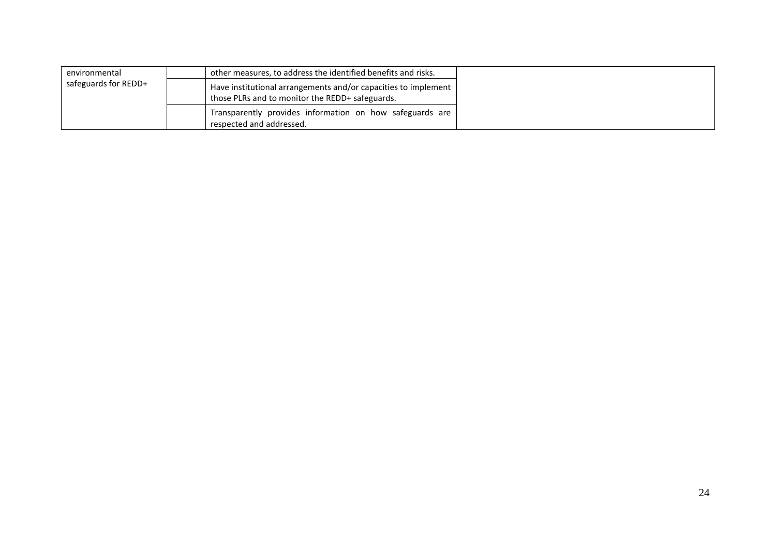| environmental        | other measures, to address the identified benefits and risks.                                                     |
|----------------------|-------------------------------------------------------------------------------------------------------------------|
| safeguards for REDD+ | Have institutional arrangements and/or capacities to implement<br>those PLRs and to monitor the REDD+ safeguards. |
|                      | Transparently provides information on how safeguards are<br>respected and addressed.                              |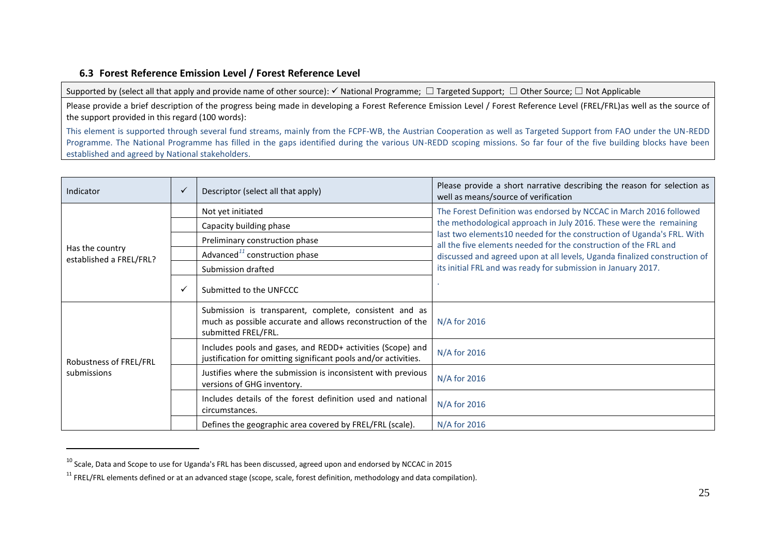## **6.3 Forest Reference Emission Level / Forest Reference Level**

Supported by (select all that apply and provide name of other source):  $\checkmark$  National Programme;  $\Box$  Targeted Support;  $\Box$  Other Source;  $\Box$  Not Applicable

Please provide a brief description of the progress being made in developing a Forest Reference Emission Level / Forest Reference Level (FREL/FRL)as well as the source of the support provided in this regard (100 words):

This element is supported through several fund streams, mainly from the FCPF-WB, the Austrian Cooperation as well as Targeted Support from FAO under the UN-REDD Programme. The National Programme has filled in the gaps identified during the various UN-REDD scoping missions. So far four of the five building blocks have been established and agreed by National stakeholders.

| Indicator                                  | $\checkmark$ | Descriptor (select all that apply)                                                                                                          | Please provide a short narrative describing the reason for selection as<br>well as means/source of verification                           |
|--------------------------------------------|--------------|---------------------------------------------------------------------------------------------------------------------------------------------|-------------------------------------------------------------------------------------------------------------------------------------------|
|                                            |              | Not yet initiated                                                                                                                           | The Forest Definition was endorsed by NCCAC in March 2016 followed                                                                        |
|                                            |              | Capacity building phase                                                                                                                     | the methodological approach in July 2016. These were the remaining                                                                        |
|                                            |              | Preliminary construction phase                                                                                                              | last two elements10 needed for the construction of Uganda's FRL. With<br>all the five elements needed for the construction of the FRL and |
| Has the country<br>established a FREL/FRL? |              | Advanced <sup>11</sup> construction phase                                                                                                   | discussed and agreed upon at all levels, Uganda finalized construction of                                                                 |
|                                            |              | Submission drafted                                                                                                                          | its initial FRL and was ready for submission in January 2017.                                                                             |
|                                            |              | Submitted to the UNFCCC                                                                                                                     |                                                                                                                                           |
|                                            |              | Submission is transparent, complete, consistent and as<br>much as possible accurate and allows reconstruction of the<br>submitted FREL/FRL. | N/A for 2016                                                                                                                              |
| Robustness of FREL/FRL                     |              | Includes pools and gases, and REDD+ activities (Scope) and<br>justification for omitting significant pools and/or activities.               | N/A for 2016                                                                                                                              |
| submissions                                |              | Justifies where the submission is inconsistent with previous<br>versions of GHG inventory.                                                  | N/A for 2016                                                                                                                              |
|                                            |              | Includes details of the forest definition used and national<br>circumstances.                                                               | N/A for 2016                                                                                                                              |
|                                            |              | Defines the geographic area covered by FREL/FRL (scale).                                                                                    | N/A for 2016                                                                                                                              |

<sup>10</sup> Scale, Data and Scope to use for Uganda's FRL has been discussed, agreed upon and endorsed by NCCAC in 2015

 $\overline{a}$ 

 $11$  FREL/FRL elements defined or at an advanced stage (scope, scale, forest definition, methodology and data compilation).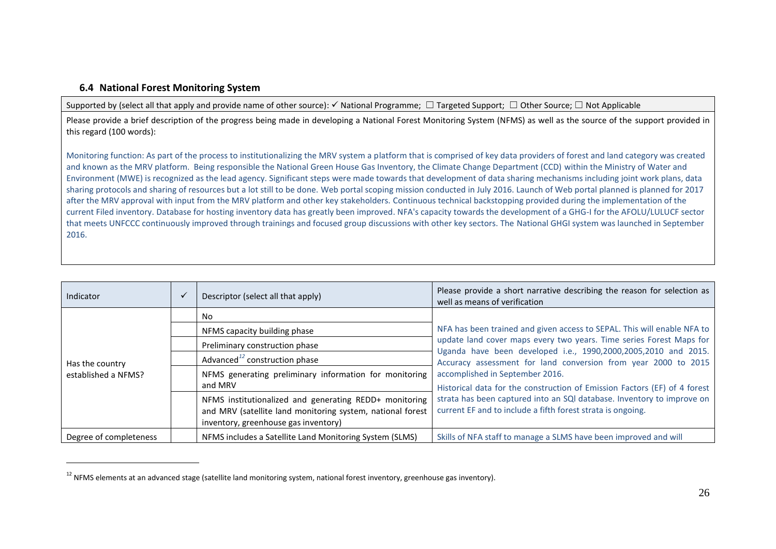## **6.4 National Forest Monitoring System**

 $\overline{\phantom{a}}$ 

Supported by (select all that apply and provide name of other source):  $\checkmark$  National Programme;  $\Box$  Targeted Support;  $\Box$  Other Source;  $\Box$  Not Applicable

Please provide a brief description of the progress being made in developing a National Forest Monitoring System (NFMS) as well as the source of the support provided in this regard (100 words):

Monitoring function: As part of the process to institutionalizing the MRV system a platform that is comprised of key data providers of forest and land category was created and known as the MRV platform. Being responsible the National Green House Gas Inventory, the Climate Change Department (CCD) within the Ministry of Water and Environment (MWE) is recognized as the lead agency. Significant steps were made towards that development of data sharing mechanisms including joint work plans, data sharing protocols and sharing of resources but a lot still to be done. Web portal scoping mission conducted in July 2016. Launch of Web portal planned is planned for 2017 after the MRV approval with input from the MRV platform and other key stakeholders. Continuous technical backstopping provided during the implementation of the current Filed inventory. Database for hosting inventory data has greatly been improved. NFA's capacity towards the development of a GHG-I for the AFOLU/LULUCF sector that meets UNFCCC continuously improved through trainings and focused group discussions with other key sectors. The National GHGI system was launched in September 2016.

| Indicator                              | $\sqrt{}$ | Descriptor (select all that apply)                                                                                                                           | Please provide a short narrative describing the reason for selection as<br>well as means of verification                                                                                                |  |
|----------------------------------------|-----------|--------------------------------------------------------------------------------------------------------------------------------------------------------------|---------------------------------------------------------------------------------------------------------------------------------------------------------------------------------------------------------|--|
| Has the country<br>established a NFMS? |           | No                                                                                                                                                           | NFA has been trained and given access to SEPAL. This will enable NFA to                                                                                                                                 |  |
|                                        |           | NFMS capacity building phase                                                                                                                                 |                                                                                                                                                                                                         |  |
|                                        |           | Preliminary construction phase                                                                                                                               | update land cover maps every two years. Time series Forest Maps for<br>Uganda have been developed i.e., 1990,2000,2005,2010 and 2015.<br>Accuracy assessment for land conversion from year 2000 to 2015 |  |
|                                        |           | Advanced <sup>12</sup> construction phase                                                                                                                    |                                                                                                                                                                                                         |  |
|                                        |           | NFMS generating preliminary information for monitoring<br>and MRV                                                                                            | accomplished in September 2016.<br>Historical data for the construction of Emission Factors (EF) of 4 forest                                                                                            |  |
|                                        |           | NFMS institutionalized and generating REDD+ monitoring<br>and MRV (satellite land monitoring system, national forest<br>inventory, greenhouse gas inventory) | strata has been captured into an SQI database. Inventory to improve on<br>current EF and to include a fifth forest strata is ongoing.                                                                   |  |
| Degree of completeness                 |           | NFMS includes a Satellite Land Monitoring System (SLMS)                                                                                                      | Skills of NFA staff to manage a SLMS have been improved and will                                                                                                                                        |  |

 $12$  NFMS elements at an advanced stage (satellite land monitoring system, national forest inventory, greenhouse gas inventory).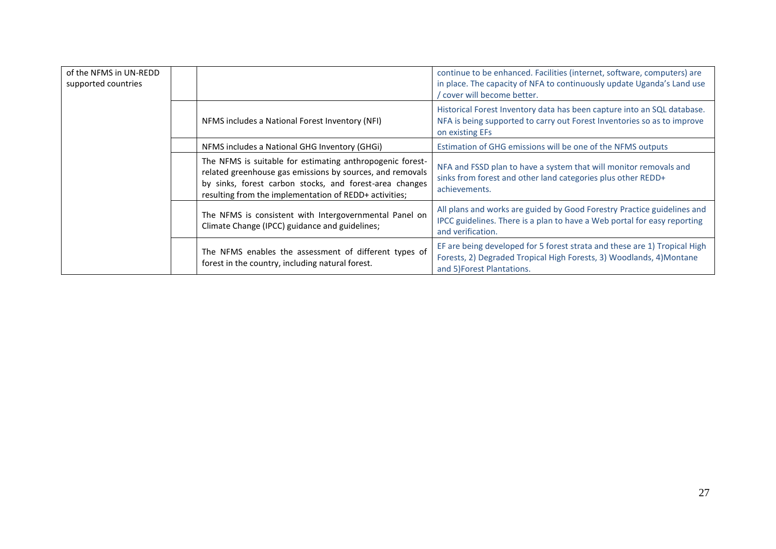| of the NFMS in UN-REDD<br>supported countries |                                                                                                                                                                                                                                             | continue to be enhanced. Facilities (internet, software, computers) are<br>in place. The capacity of NFA to continuously update Uganda's Land use<br>cover will become better.  |
|-----------------------------------------------|---------------------------------------------------------------------------------------------------------------------------------------------------------------------------------------------------------------------------------------------|---------------------------------------------------------------------------------------------------------------------------------------------------------------------------------|
|                                               | NFMS includes a National Forest Inventory (NFI)                                                                                                                                                                                             | Historical Forest Inventory data has been capture into an SQL database.<br>NFA is being supported to carry out Forest Inventories so as to improve<br>on existing EFs           |
|                                               | NFMS includes a National GHG Inventory (GHGi)                                                                                                                                                                                               | Estimation of GHG emissions will be one of the NFMS outputs                                                                                                                     |
|                                               | The NFMS is suitable for estimating anthropogenic forest-<br>related greenhouse gas emissions by sources, and removals<br>by sinks, forest carbon stocks, and forest-area changes<br>resulting from the implementation of REDD+ activities; | NFA and FSSD plan to have a system that will monitor removals and<br>sinks from forest and other land categories plus other REDD+<br>achievements.                              |
|                                               | The NFMS is consistent with Intergovernmental Panel on<br>Climate Change (IPCC) guidance and guidelines;                                                                                                                                    | All plans and works are guided by Good Forestry Practice guidelines and<br>IPCC guidelines. There is a plan to have a Web portal for easy reporting<br>and verification.        |
|                                               | The NFMS enables the assessment of different types of<br>forest in the country, including natural forest.                                                                                                                                   | EF are being developed for 5 forest strata and these are 1) Tropical High<br>Forests, 2) Degraded Tropical High Forests, 3) Woodlands, 4) Montane<br>and 5) Forest Plantations. |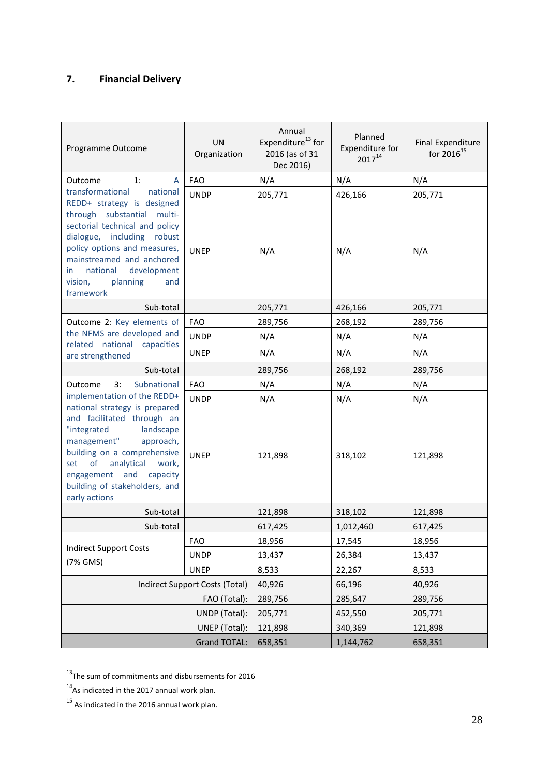## **7. Financial Delivery**

| Programme Outcome                                                                                                                                                                                                                                                   | <b>UN</b><br>Organization      | Annual<br>Expenditure <sup>13</sup> for<br>2016 (as of 31<br>Dec 2016) | Planned<br>Expenditure for<br>$2017^{14}$ | <b>Final Expenditure</b><br>for 2016 <sup>15</sup> |
|---------------------------------------------------------------------------------------------------------------------------------------------------------------------------------------------------------------------------------------------------------------------|--------------------------------|------------------------------------------------------------------------|-------------------------------------------|----------------------------------------------------|
| 1:<br>Outcome<br>A                                                                                                                                                                                                                                                  | <b>FAO</b>                     | N/A                                                                    | N/A                                       | N/A                                                |
| transformational<br>national                                                                                                                                                                                                                                        | <b>UNDP</b>                    | 205,771                                                                | 426,166                                   | 205,771                                            |
| REDD+ strategy is designed<br>through substantial multi-<br>sectorial technical and policy<br>dialogue, including robust<br>policy options and measures,<br>mainstreamed and anchored<br>national<br>development<br>in.<br>vision,<br>planning<br>and<br>framework  | <b>UNEP</b>                    | N/A                                                                    | N/A                                       | N/A                                                |
| Sub-total                                                                                                                                                                                                                                                           |                                | 205,771                                                                | 426,166                                   | 205,771                                            |
| Outcome 2: Key elements of                                                                                                                                                                                                                                          | <b>FAO</b>                     | 289,756                                                                | 268,192                                   | 289,756                                            |
| the NFMS are developed and                                                                                                                                                                                                                                          | <b>UNDP</b>                    | N/A                                                                    | N/A                                       | N/A                                                |
| related national<br>capacities<br>are strengthened                                                                                                                                                                                                                  | <b>UNEP</b>                    | N/A                                                                    | N/A                                       | N/A                                                |
| Sub-total                                                                                                                                                                                                                                                           |                                | 289,756                                                                | 268,192                                   | 289,756                                            |
| Subnational<br>3:<br>Outcome                                                                                                                                                                                                                                        | <b>FAO</b>                     | N/A                                                                    | N/A                                       | N/A                                                |
| implementation of the REDD+                                                                                                                                                                                                                                         | <b>UNDP</b>                    | N/A                                                                    | N/A                                       | N/A                                                |
| national strategy is prepared<br>and facilitated through an<br>"integrated<br>landscape<br>management"<br>approach,<br>building on a comprehensive<br>analytical<br>of<br>set<br>work,<br>engagement and capacity<br>building of stakeholders, and<br>early actions | <b>UNEP</b>                    | 121,898                                                                | 318,102                                   | 121,898                                            |
| Sub-total                                                                                                                                                                                                                                                           |                                | 121,898                                                                | 318,102                                   | 121,898                                            |
| Sub-total                                                                                                                                                                                                                                                           |                                | 617,425                                                                | 1,012,460                                 | 617,425                                            |
|                                                                                                                                                                                                                                                                     | <b>FAO</b>                     | 18,956                                                                 | 17,545                                    | 18,956                                             |
| <b>Indirect Support Costs</b>                                                                                                                                                                                                                                       | <b>UNDP</b>                    | 13,437                                                                 | 26,384                                    | 13,437                                             |
| (7% GMS)                                                                                                                                                                                                                                                            | <b>UNEP</b>                    | 8,533                                                                  | 22,267                                    | 8,533                                              |
|                                                                                                                                                                                                                                                                     | Indirect Support Costs (Total) | 40,926                                                                 | 66,196                                    | 40,926                                             |
|                                                                                                                                                                                                                                                                     | FAO (Total):                   | 289,756                                                                | 285,647                                   | 289,756                                            |
|                                                                                                                                                                                                                                                                     | UNDP (Total):                  | 205,771                                                                | 452,550                                   | 205,771                                            |
|                                                                                                                                                                                                                                                                     | UNEP (Total):                  | 121,898                                                                | 340,369                                   | 121,898                                            |
|                                                                                                                                                                                                                                                                     | <b>Grand TOTAL:</b>            | 658,351                                                                | 1,144,762                                 | 658,351                                            |

 $13$ The sum of commitments and disbursements for 2016

1

<sup>&</sup>lt;sup>14</sup>As indicated in the 2017 annual work plan.

 $15$  As indicated in the 2016 annual work plan.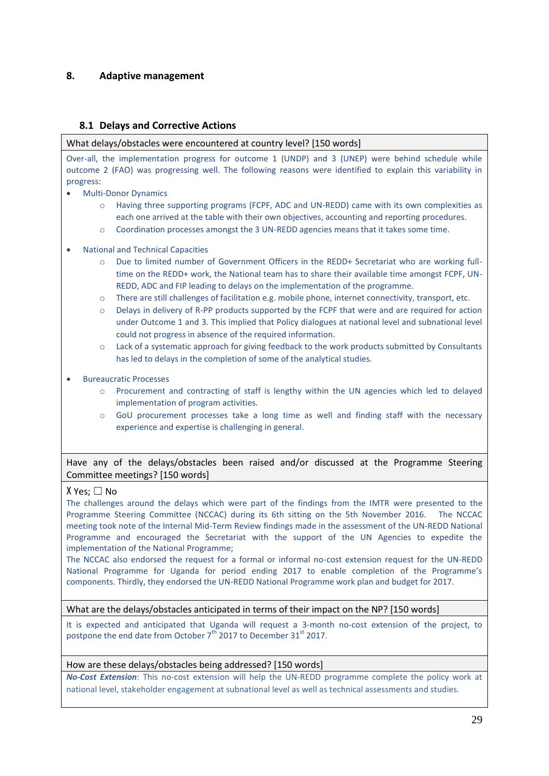## **8. Adaptive management**

## **8.1 Delays and Corrective Actions**

What delays/obstacles were encountered at country level? [150 words]

Over-all, the implementation progress for outcome 1 (UNDP) and 3 (UNEP) were behind schedule while outcome 2 (FAO) was progressing well. The following reasons were identified to explain this variability in progress:

- Multi-Donor Dynamics
	- o Having three supporting programs (FCPF, ADC and UN-REDD) came with its own complexities as each one arrived at the table with their own objectives, accounting and reporting procedures.
	- o Coordination processes amongst the 3 UN-REDD agencies means that it takes some time.
- National and Technical Capacities
	- o Due to limited number of Government Officers in the REDD+ Secretariat who are working fulltime on the REDD+ work, the National team has to share their available time amongst FCPF, UN-REDD, ADC and FIP leading to delays on the implementation of the programme.
	- o There are still challenges of facilitation e.g. mobile phone, internet connectivity, transport, etc.
	- o Delays in delivery of R-PP products supported by the FCPF that were and are required for action under Outcome 1 and 3. This implied that Policy dialogues at national level and subnational level could not progress in absence of the required information.
	- o Lack of a systematic approach for giving feedback to the work products submitted by Consultants has led to delays in the completion of some of the analytical studies.
- Bureaucratic Processes
	- o Procurement and contracting of staff is lengthy within the UN agencies which led to delayed implementation of program activities.
	- o GoU procurement processes take a long time as well and finding staff with the necessary experience and expertise is challenging in general.

Have any of the delays/obstacles been raised and/or discussed at the Programme Steering Committee meetings? [150 words]

## X Yes; ☐ No

The challenges around the delays which were part of the findings from the IMTR were presented to the Programme Steering Committee (NCCAC) during its 6th sitting on the 5th November 2016. The NCCAC meeting took note of the Internal Mid-Term Review findings made in the assessment of the UN-REDD National Programme and encouraged the Secretariat with the support of the UN Agencies to expedite the implementation of the National Programme;

The NCCAC also endorsed the request for a formal or informal no-cost extension request for the UN-REDD National Programme for Uganda for period ending 2017 to enable completion of the Programme's components. Thirdly, they endorsed the UN-REDD National Programme work plan and budget for 2017.

What are the delays/obstacles anticipated in terms of their impact on the NP? [150 words]

It is expected and anticipated that Uganda will request a 3-month no-cost extension of the project, to postpone the end date from October  $7^{th}$  2017 to December 31<sup>st</sup> 2017.

## How are these delays/obstacles being addressed? [150 words]

*No-Cost Extension*: This no-cost extension will help the UN-REDD programme complete the policy work at national level, stakeholder engagement at subnational level as well as technical assessments and studies.